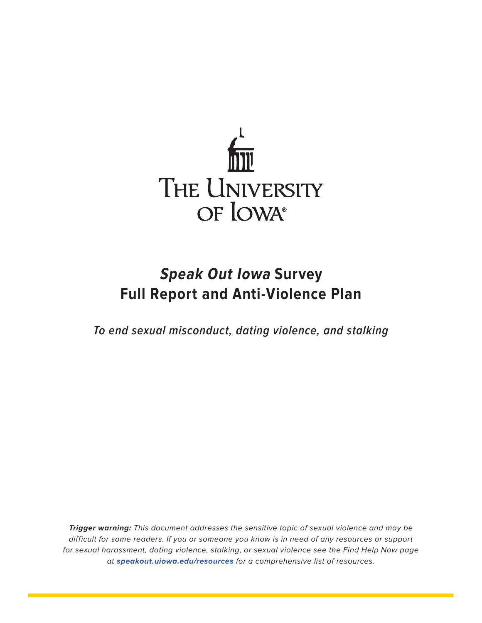

# **Speak Out Iowa Survey Full Report and Anti-Violence Plan**

**To end sexual misconduct, dating violence, and stalking**

**Trigger warning:** This document addresses the sensitive topic of sexual violence and may be difficult for some readers. If you or someone you know is in need of any resources or support for sexual harassment, dating violence, stalking, or sexual violence see the Find Help Now page at **speakout.uiowa.edu/resources** for a comprehensive list of resources.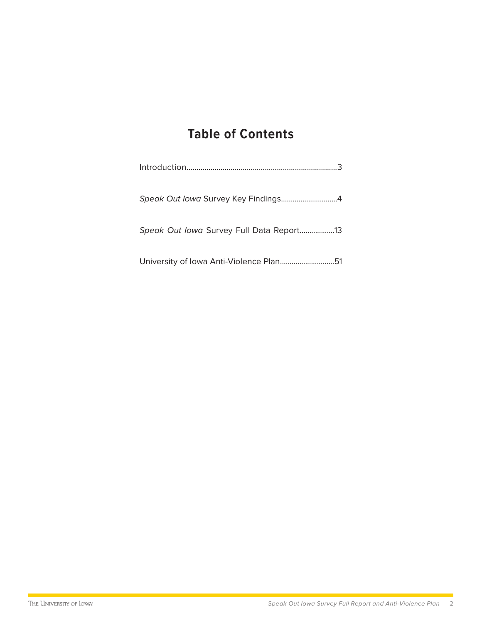# **Table of Contents**

| Speak Out lowa Survey Full Data Report13 |
|------------------------------------------|
|                                          |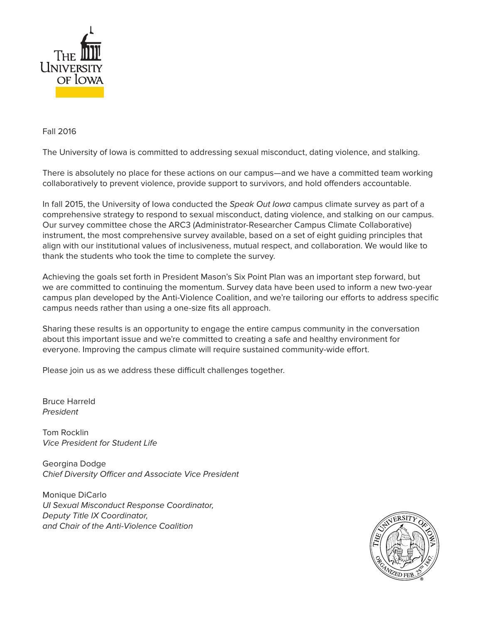

#### Fall 2016

The University of Iowa is committed to addressing sexual misconduct, dating violence, and stalking.

There is absolutely no place for these actions on our campus—and we have a committed team working collaboratively to prevent violence, provide support to survivors, and hold offenders accountable.

In fall 2015, the University of Iowa conducted the Speak Out Iowa campus climate survey as part of a comprehensive strategy to respond to sexual misconduct, dating violence, and stalking on our campus. Our survey committee chose the ARC3 (Administrator-Researcher Campus Climate Collaborative) instrument, the most comprehensive survey available, based on a set of eight guiding principles that align with our institutional values of inclusiveness, mutual respect, and collaboration. We would like to thank the students who took the time to complete the survey.

Achieving the goals set forth in President Mason's Six Point Plan was an important step forward, but we are committed to continuing the momentum. Survey data have been used to inform a new two-year campus plan developed by the Anti-Violence Coalition, and we're tailoring our efforts to address specific campus needs rather than using a one-size fits all approach.

Sharing these results is an opportunity to engage the entire campus community in the conversation about this important issue and we're committed to creating a safe and healthy environment for everyone. Improving the campus climate will require sustained community-wide effort.

Please join us as we address these difficult challenges together.

Bruce Harreld President

Tom Rocklin Vice President for Student Life

Georgina Dodge Chief Diversity Officer and Associate Vice President

Monique DiCarlo UI Sexual Misconduct Response Coordinator, Deputy Title IX Coordinator, and Chair of the Anti-Violence Coalition

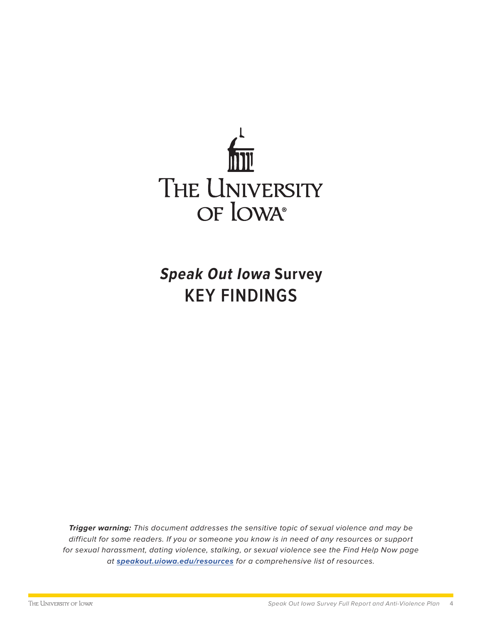

**Speak Out Iowa Survey KEY FINDINGS**

**Trigger warning:** This document addresses the sensitive topic of sexual violence and may be difficult for some readers. If you or someone you know is in need of any resources or support for sexual harassment, dating violence, stalking, or sexual violence see the Find Help Now page at **speakout.uiowa.edu/resources** for a comprehensive list of resources.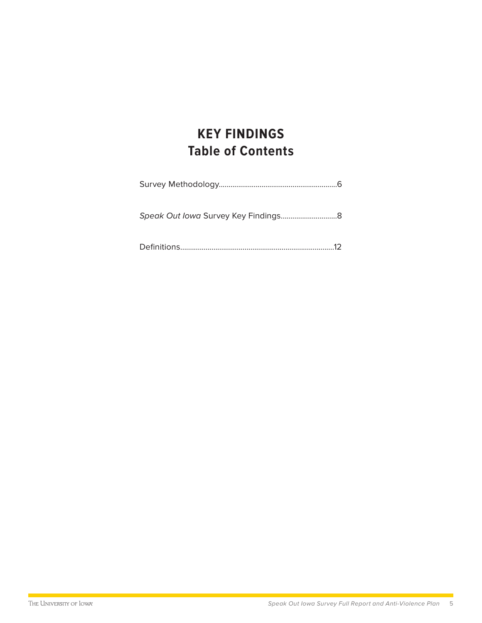# **KEY FINDINGS Table of Contents**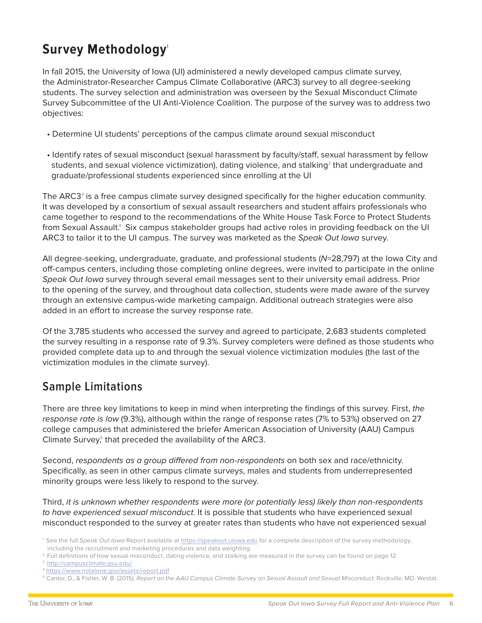# **Survey Methodology**<sup>1</sup>

In fall 2015, the University of Iowa (UI) administered a newly developed campus climate survey, the Administrator-Researcher Campus Climate Collaborative (ARC3) survey to all degree-seeking students. The survey selection and administration was overseen by the Sexual Misconduct Climate Survey Subcommittee of the UI Anti-Violence Coalition. The purpose of the survey was to address two objectives:

- Determine UI students' perceptions of the campus climate around sexual misconduct
- Identify rates of sexual misconduct (sexual harassment by faculty/staff, sexual harassment by fellow students, and sexual violence victimization), dating violence, and stalking<sup>2</sup> that undergraduate and graduate/professional students experienced since enrolling at the UI

The ARC3<sup>3</sup> is a free campus climate survey designed specifically for the higher education community. It was developed by a consortium of sexual assault researchers and student affairs professionals who came together to respond to the recommendations of the White House Task Force to Protect Students from Sexual Assault.4 Six campus stakeholder groups had active roles in providing feedback on the UI ARC3 to tailor it to the UI campus. The survey was marketed as the Speak Out lowa survey.

All degree-seeking, undergraduate, graduate, and professional students (N=28,797) at the Iowa City and off-campus centers, including those completing online degrees, were invited to participate in the online Speak Out lowa survey through several email messages sent to their university email address. Prior to the opening of the survey, and throughout data collection, students were made aware of the survey through an extensive campus-wide marketing campaign. Additional outreach strategies were also added in an effort to increase the survey response rate.

Of the 3,785 students who accessed the survey and agreed to participate, 2,683 students completed the survey resulting in a response rate of 9.3%. Survey completers were defined as those students who provided complete data up to and through the sexual violence victimization modules (the last of the victimization modules in the climate survey).

## **Sample Limitations**

There are three key limitations to keep in mind when interpreting the findings of this survey. First, the response rate is low (9.3%), although within the range of response rates (7% to 53%) observed on 27 college campuses that administered the briefer American Association of University (AAU) Campus Climate Survey,<sup>5</sup> that preceded the availability of the ARC3.

Second, respondents as a group differed from non-respondents on both sex and race/ethnicity. Specifically, as seen in other campus climate surveys, males and students from underrepresented minority groups were less likely to respond to the survey.

Third, it is unknown whether respondents were more (or potentially less) likely than non-respondents to have experienced sexual misconduct. It is possible that students who have experienced sexual misconduct responded to the survey at greater rates than students who have not experienced sexual

<sup>&</sup>lt;sup>1</sup> See the full Speak Out lowa Report available at <u>https://speakout.uiowa.edu</u> for a complete description of the survey methodology, including the recruitment and marketing procedures and data weighting.

<sup>&</sup>lt;sup>2</sup> Full definitions of how sexual misconduct, dating violence, and stalking are measured in the survey can be found on page 12

<sup>3</sup> http://campusclimate.gsu.edu/

<sup>4</sup> https://www.notalone.gov/assets/report.pdf

<sup>&</sup>lt;sup>5</sup> Cantor, D., & Fisher, W. B. (2015). Report on the AAU Campus Climate Survey on Sexual Assault and Sexual Misconduct. Rockville, MD: Westat.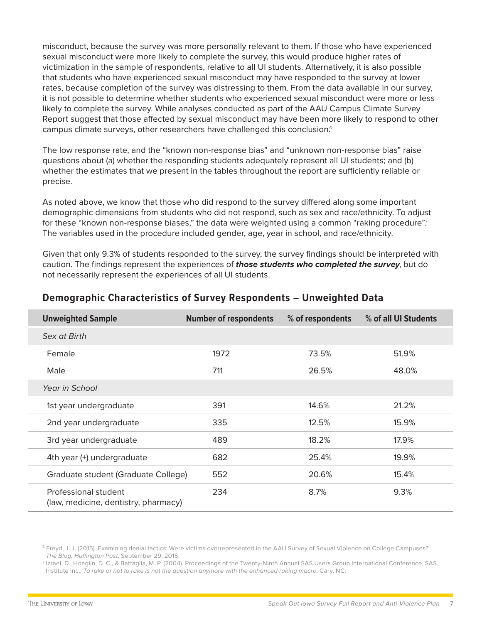misconduct, because the survey was more personally relevant to them. If those who have experienced sexual misconduct were more likely to complete the survey, this would produce higher rates of victimization in the sample of respondents, relative to all UI students. Alternatively, it is also possible that students who have experienced sexual misconduct may have responded to the survey at lower rates, because completion of the survey was distressing to them. From the data available in our survey, it is not possible to determine whether students who experienced sexual misconduct were more or less likely to complete the survey. While analyses conducted as part of the AAU Campus Climate Survey Report suggest that those affected by sexual misconduct may have been more likely to respond to other campus climate surveys, other researchers have challenged this conclusion. $6$ 

The low response rate, and the "known non-response bias" and "unknown non-response bias" raise questions about (a) whether the responding students adequately represent all UI students; and (b) whether the estimates that we present in the tables throughout the report are sufficiently reliable or precise.

As noted above, we know that those who did respond to the survey differed along some important demographic dimensions from students who did not respond, such as sex and race/ethnicity. To adjust for these "known non-response biases," the data were weighted using a common "raking procedure". The variables used in the procedure included gender, age, year in school, and race/ethnicity.

Given that only 9.3% of students responded to the survey, the survey findings should be interpreted with caution. The findings represent the experiences of **those students who completed the survey**, but do not necessarily represent the experiences of all UI students.

| <b>Unweighted Sample</b>                                     | <b>Number of respondents</b> | % of respondents | % of all UI Students |
|--------------------------------------------------------------|------------------------------|------------------|----------------------|
| Sex at Birth                                                 |                              |                  |                      |
| Female                                                       | 1972                         | 73.5%            | 51.9%                |
| Male                                                         | 711                          | 26.5%            | 48.0%                |
| Year in School                                               |                              |                  |                      |
| 1st year undergraduate                                       | 391                          | 14.6%            | 21.2%                |
| 2nd year undergraduate                                       | 335                          | 12.5%            | 15.9%                |
| 3rd year undergraduate                                       | 489                          | 18.2%            | 17.9%                |
| 4th year (+) undergraduate                                   | 682                          | 25.4%            | 19.9%                |
| Graduate student (Graduate College)                          | 552                          | 20.6%            | 15.4%                |
| Professional student<br>(law, medicine, dentistry, pharmacy) | 234                          | 8.7%             | 9.3%                 |

#### **Demographic Characteristics of Survey Respondents – Unweighted Data**

<sup>6</sup> Freyd, J. J. (2015). Examining denial tactics: Were victims overrepresented in the AAU Survey of Sexual Violence on College Campuses? The Blog, Huffington Post, September 29, 2015.

7 Izrael, D., Hoaglin, D. C., & Battaglia, M. P. (2004). Proceedings of the Twenty-Ninth Annual SAS Users Group International Conference, SAS Institute Inc.: To rake or not to rake is not the question anymore with the enhanced raking macro. Cary, NC.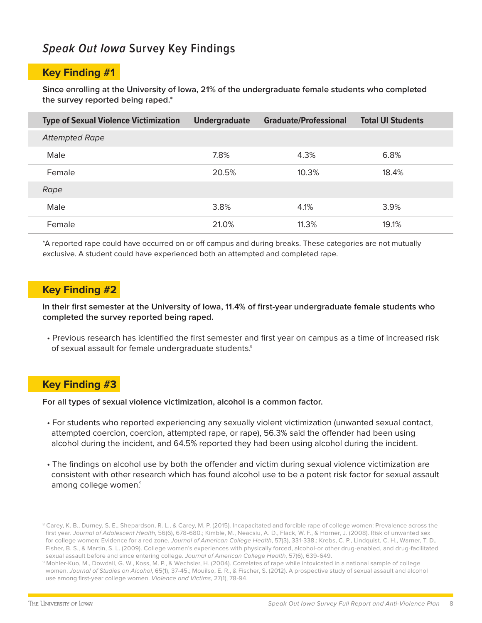## **Speak Out Iowa Survey Key Findings**

#### **Key Finding #1**

**Since enrolling at the University of Iowa, 21% of the undergraduate female students who completed the survey reported being raped.\*** 

| <b>Type of Sexual Violence Victimization</b> | <b>Undergraduate</b> | <b>Graduate/Professional</b> | <b>Total UI Students</b> |  |
|----------------------------------------------|----------------------|------------------------------|--------------------------|--|
| <b>Attempted Rape</b>                        |                      |                              |                          |  |
| Male                                         | 7.8%                 | 4.3%                         | 6.8%                     |  |
| Female                                       | 20.5%                | 10.3%                        | 18.4%                    |  |
| Rape                                         |                      |                              |                          |  |
| Male                                         | 3.8%                 | 4.1%                         | 3.9%                     |  |
| Female                                       | 21.0%                | 11.3%                        | 19.1%                    |  |
|                                              |                      |                              |                          |  |

\*A reported rape could have occurred on or off campus and during breaks. These categories are not mutually exclusive. A student could have experienced both an attempted and completed rape.

#### **Key Finding #2**

**In their first semester at the University of Iowa, 11.4% of first-year undergraduate female students who completed the survey reported being raped.** 

 • Previous research has identified the first semester and first year on campus as a time of increased risk of sexual assault for female undergraduate students.<sup>8</sup>

#### **Key Finding #3**

**For all types of sexual violence victimization, alcohol is a common factor.**

- For students who reported experiencing any sexually violent victimization (unwanted sexual contact, attempted coercion, coercion, attempted rape, or rape), 56.3% said the offender had been using alcohol during the incident, and 64.5% reported they had been using alcohol during the incident.
- The findings on alcohol use by both the offender and victim during sexual violence victimization are consistent with other research which has found alcohol use to be a potent risk factor for sexual assault among college women.<sup>9</sup>

<sup>8</sup> Carey, K. B., Durney, S. E., Shepardson, R. L., & Carey, M. P. (2015). Incapacitated and forcible rape of college women: Prevalence across the first year. Journal of Adolescent Health, 56(6), 678-680.; Kimble, M., Neacsiu, A. D., Flack, W. F., & Horner, J. (2008). Risk of unwanted sex for college women: Evidence for a red zone. Journal of American College Health, 57(3), 331-338.; Krebs, C. P., Lindquist, C. H., Warner, T. D., Fisher, B. S., & Martin, S. L. (2009). College women's experiences with physically forced, alcohol-or other drug-enabled, and drug-facilitated sexual assault before and since entering college. Journal of American College Health, 57(6), 639-649.

<sup>9</sup> Mohler-Kuo, M., Dowdall, G. W., Koss, M. P., & Wechsler, H. (2004). Correlates of rape while intoxicated in a national sample of college women. Journal of Studies on Alcohol, 65(1), 37-45.; Mouilso, E. R., & Fischer, S. (2012). A prospective study of sexual assault and alcohol use among first-year college women. Violence and Victims, 27(1), 78-94.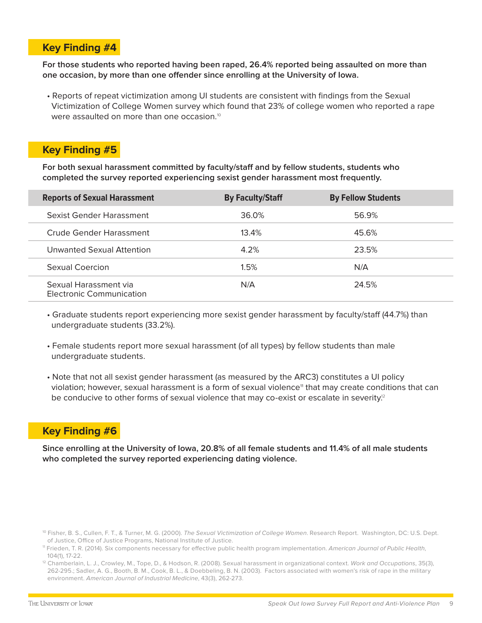## **Key Finding #4**

**For those students who reported having been raped, 26.4% reported being assaulted on more than one occasion, by more than one offender since enrolling at the University of Iowa.**

 • Reports of repeat victimization among UI students are consistent with findings from the Sexual Victimization of College Women survey which found that 23% of college women who reported a rape were assaulted on more than one occasion.<sup>10</sup>

#### **Key Finding #5**

**For both sexual harassment committed by faculty/staff and by fellow students, students who completed the survey reported experiencing sexist gender harassment most frequently.** 

| <b>Reports of Sexual Harassment</b>               | <b>By Faculty/Staff</b> | <b>By Fellow Students</b> |  |
|---------------------------------------------------|-------------------------|---------------------------|--|
| Sexist Gender Harassment                          | 36.0%                   | 56.9%                     |  |
| Crude Gender Harassment                           | 13.4%                   | 45.6%                     |  |
| Unwanted Sexual Attention                         | 4.2%                    | 23.5%                     |  |
| Sexual Coercion                                   | 1.5%                    | N/A                       |  |
| Sexual Harassment via<br>Electronic Communication | N/A                     | 24.5%                     |  |

- Graduate students report experiencing more sexist gender harassment by faculty/staff (44.7%) than undergraduate students (33.2%).
- Female students report more sexual harassment (of all types) by fellow students than male undergraduate students.
- Note that not all sexist gender harassment (as measured by the ARC3) constitutes a UI policy violation; however, sexual harassment is a form of sexual violence<sup>11</sup> that may create conditions that can be conducive to other forms of sexual violence that may co-exist or escalate in severity.<sup>12</sup>

## **Key Finding #6**

**Since enrolling at the University of Iowa, 20.8% of all female students and 11.4% of all male students who completed the survey reported experiencing dating violence.** 

<sup>&</sup>lt;sup>10</sup> Fisher, B. S., Cullen, F. T., & Turner, M. G. (2000). The Sexual Victimization of College Women. Research Report. Washington, DC: U.S. Dept. of Justice, Office of Justice Programs, National Institute of Justice.

<sup>&</sup>lt;sup>11</sup> Frieden, T. R. (2014). Six components necessary for effective public health program implementation. American Journal of Public Health, 104(1), 17-22.

<sup>&</sup>lt;sup>12</sup> Chamberlain, L. J., Crowley, M., Tope, D., & Hodson, R. (2008). Sexual harassment in organizational context. Work and Occupations, 35(3), 262-295.; Sadler, A. G., Booth, B. M., Cook, B. L., & Doebbeling, B. N. (2003). Factors associated with women's risk of rape in the military environment. American Journal of Industrial Medicine, 43(3), 262-273.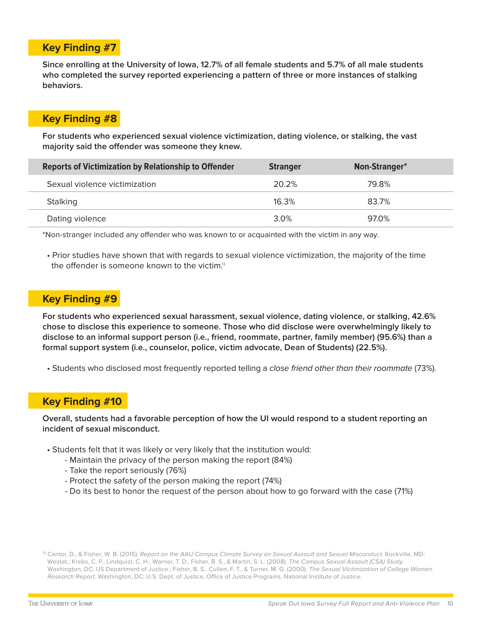#### **Key Finding #7**

**Since enrolling at the University of Iowa, 12.7% of all female students and 5.7% of all male students who completed the survey reported experiencing a pattern of three or more instances of stalking behaviors.**

#### **Key Finding #8**

**For students who experienced sexual violence victimization, dating violence, or stalking, the vast majority said the offender was someone they knew.** 

| <b>Reports of Victimization by Relationship to Offender</b> | <b>Stranger</b> | Non-Stranger* |
|-------------------------------------------------------------|-----------------|---------------|
| Sexual violence victimization                               | 20.2%           | 79.8%         |
| Stalking                                                    | 16.3%           | 83.7%         |
| Dating violence                                             | 3.0%            | 97.0%         |

\*Non-stranger included any offender who was known to or acquainted with the victim in any way.

 • Prior studies have shown that with regards to sexual violence victimization, the majority of the time the offender is someone known to the victim $13$ 

#### **Key Finding #9**

**For students who experienced sexual harassment, sexual violence, dating violence, or stalking, 42.6% chose to disclose this experience to someone. Those who did disclose were overwhelmingly likely to disclose to an informal support person (i.e., friend, roommate, partner, family member) (95.6%) than a formal support system (i.e., counselor, police, victim advocate, Dean of Students) (22.5%).**

• Students who disclosed most frequently reported telling a close friend other than their roommate (73%).

#### **Key Finding #10**

**Overall, students had a favorable perception of how the UI would respond to a student reporting an incident of sexual misconduct.**

- Students felt that it was likely or very likely that the institution would:
	- Maintain the privacy of the person making the report (84%)
	- Take the report seriously (76%)
	- Protect the safety of the person making the report (74%)
	- Do its best to honor the request of the person about how to go forward with the case (71%)

<sup>&</sup>lt;sup>13</sup> Cantor, D., & Fisher, W. B. (2015). Report on the AAU Campus Climate Survey on Sexual Assault and Sexual Misconduct. Rockville, MD: Westat.; Krebs, C. P., Lindquist, C. H., Warner, T. D., Fisher, B. S., & Martin, S. L. (2008). The Campus Sexual Assault (CSA) Study. Washington, DC: US Department of Justice.; Fisher, B. S., Cullen, F. T., & Turner, M. G. (2000). The Sexual Victimization of College Women. Research Report. Washington, DC: U.S. Dept. of Justice, Office of Justice Programs, National Institute of Justice.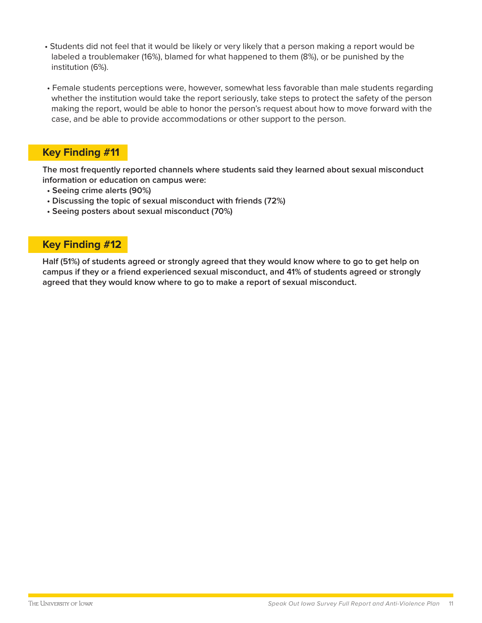- Students did not feel that it would be likely or very likely that a person making a report would be labeled a troublemaker (16%), blamed for what happened to them (8%), or be punished by the institution (6%).
- Female students perceptions were, however, somewhat less favorable than male students regarding whether the institution would take the report seriously, take steps to protect the safety of the person making the report, would be able to honor the person's request about how to move forward with the case, and be able to provide accommodations or other support to the person.

## **Key Finding #11**

**The most frequently reported channels where students said they learned about sexual misconduct information or education on campus were:**

- **Seeing crime alerts (90%)**
- **Discussing the topic of sexual misconduct with friends (72%)**
- **Seeing posters about sexual misconduct (70%)**

## **Key Finding #12**

**Half (51%) of students agreed or strongly agreed that they would know where to go to get help on campus if they or a friend experienced sexual misconduct, and 41% of students agreed or strongly agreed that they would know where to go to make a report of sexual misconduct.**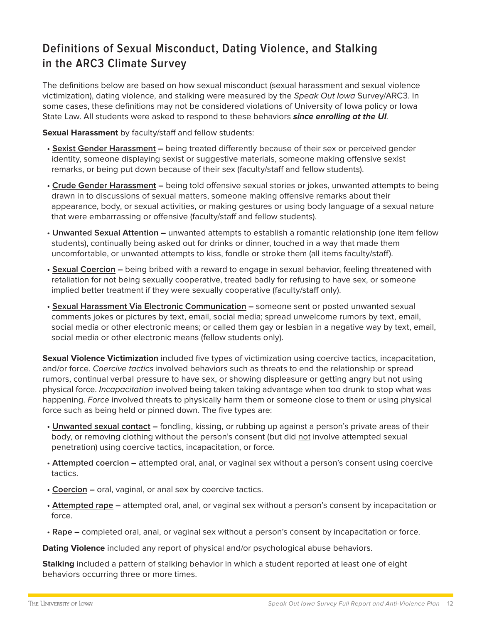## **Definitions of Sexual Misconduct, Dating Violence, and Stalking in the ARC3 Climate Survey**

The definitions below are based on how sexual misconduct (sexual harassment and sexual violence victimization), dating violence, and stalking were measured by the Speak Out lowa Survey/ARC3. In some cases, these definitions may not be considered violations of University of Iowa policy or Iowa State Law. All students were asked to respond to these behaviors **since enrolling at the UI**.

**Sexual Harassment** by faculty/staff and fellow students:

- **Sexist Gender Harassment –** being treated differently because of their sex or perceived gender identity, someone displaying sexist or suggestive materials, someone making offensive sexist remarks, or being put down because of their sex (faculty/staff and fellow students).
- **Crude Gender Harassment –** being told offensive sexual stories or jokes, unwanted attempts to being drawn in to discussions of sexual matters, someone making offensive remarks about their appearance, body, or sexual activities, or making gestures or using body language of a sexual nature that were embarrassing or offensive (faculty/staff and fellow students).
- **Unwanted Sexual Attention –** unwanted attempts to establish a romantic relationship (one item fellow students), continually being asked out for drinks or dinner, touched in a way that made them uncomfortable, or unwanted attempts to kiss, fondle or stroke them (all items faculty/staff).
- **Sexual Coercion –** being bribed with a reward to engage in sexual behavior, feeling threatened with retaliation for not being sexually cooperative, treated badly for refusing to have sex, or someone implied better treatment if they were sexually cooperative (faculty/staff only).
- **Sexual Harassment Via Electronic Communication –** someone sent or posted unwanted sexual comments jokes or pictures by text, email, social media; spread unwelcome rumors by text, email, social media or other electronic means; or called them gay or lesbian in a negative way by text, email, social media or other electronic means (fellow students only).

**Sexual Violence Victimization** included five types of victimization using coercive tactics, incapacitation, and/or force. Coercive tactics involved behaviors such as threats to end the relationship or spread rumors, continual verbal pressure to have sex, or showing displeasure or getting angry but not using physical force. Incapacitation involved being taken taking advantage when too drunk to stop what was happening. Force involved threats to physically harm them or someone close to them or using physical force such as being held or pinned down. The five types are:

- **Unwanted sexual contact –** fondling, kissing, or rubbing up against a person's private areas of their body, or removing clothing without the person's consent (but did not involve attempted sexual penetration) using coercive tactics, incapacitation, or force.
- **Attempted coercion –** attempted oral, anal, or vaginal sex without a person's consent using coercive tactics.
- **Coercion –** oral, vaginal, or anal sex by coercive tactics.
- **Attempted rape –** attempted oral, anal, or vaginal sex without a person's consent by incapacitation or force.
- **Rape –** completed oral, anal, or vaginal sex without a person's consent by incapacitation or force.

**Dating Violence** included any report of physical and/or psychological abuse behaviors.

**Stalking** included a pattern of stalking behavior in which a student reported at least one of eight behaviors occurring three or more times.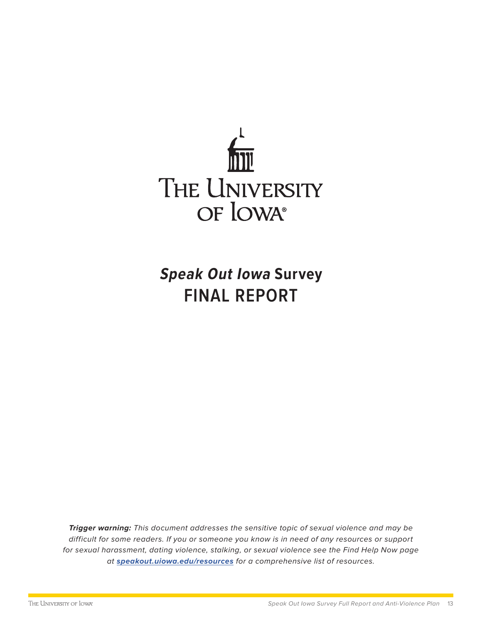

**Speak Out Iowa Survey FINAL REPORT**

**Trigger warning:** This document addresses the sensitive topic of sexual violence and may be difficult for some readers. If you or someone you know is in need of any resources or support for sexual harassment, dating violence, stalking, or sexual violence see the Find Help Now page at **speakout.uiowa.edu/resources** for a comprehensive list of resources.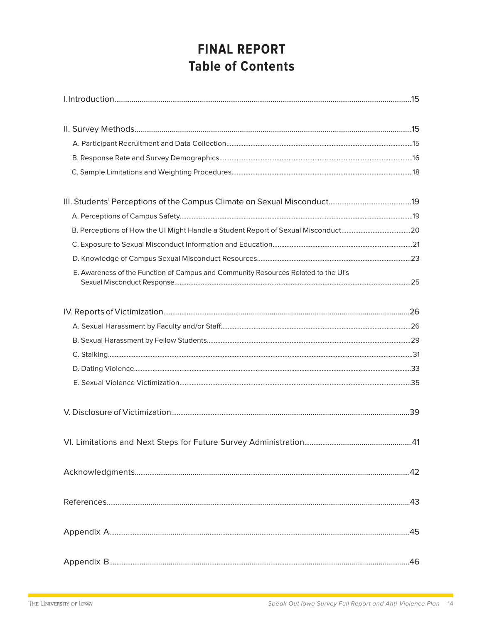# **FINAL REPORT Table of Contents**

| E. Awareness of the Function of Campus and Community Resources Related to the UI's |  |
|------------------------------------------------------------------------------------|--|
|                                                                                    |  |
|                                                                                    |  |
|                                                                                    |  |
|                                                                                    |  |
|                                                                                    |  |
|                                                                                    |  |
|                                                                                    |  |
|                                                                                    |  |
|                                                                                    |  |
|                                                                                    |  |
|                                                                                    |  |
|                                                                                    |  |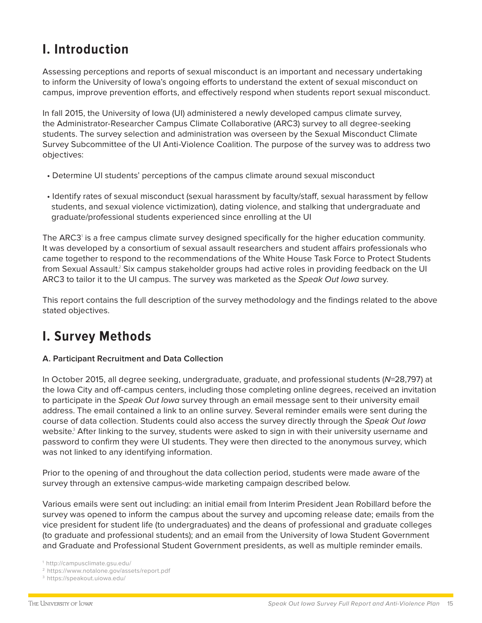# **I. Introduction**

Assessing perceptions and reports of sexual misconduct is an important and necessary undertaking to inform the University of Iowa's ongoing efforts to understand the extent of sexual misconduct on campus, improve prevention efforts, and effectively respond when students report sexual misconduct.

In fall 2015, the University of Iowa (UI) administered a newly developed campus climate survey, the Administrator-Researcher Campus Climate Collaborative (ARC3) survey to all degree-seeking students. The survey selection and administration was overseen by the Sexual Misconduct Climate Survey Subcommittee of the UI Anti-Violence Coalition. The purpose of the survey was to address two objectives:

- Determine UI students' perceptions of the campus climate around sexual misconduct
- Identify rates of sexual misconduct (sexual harassment by faculty/staff, sexual harassment by fellow students, and sexual violence victimization), dating violence, and stalking that undergraduate and graduate/professional students experienced since enrolling at the UI

The ARC3<sup>1</sup> is a free campus climate survey designed specifically for the higher education community. It was developed by a consortium of sexual assault researchers and student affairs professionals who came together to respond to the recommendations of the White House Task Force to Protect Students from Sexual Assault.<sup>2</sup> Six campus stakeholder groups had active roles in providing feedback on the UI ARC3 to tailor it to the UI campus. The survey was marketed as the Speak Out lowa survey.

This report contains the full description of the survey methodology and the findings related to the above stated objectives.

## **I. Survey Methods**

#### **A. Participant Recruitment and Data Collection**

In October 2015, all degree seeking, undergraduate, graduate, and professional students (N=28,797) at the Iowa City and off-campus centers, including those completing online degrees, received an invitation to participate in the *Speak Out lowa* survey through an email message sent to their university email address. The email contained a link to an online survey. Several reminder emails were sent during the course of data collection. Students could also access the survey directly through the Speak Out Iowa website.<sup>3</sup> After linking to the survey, students were asked to sign in with their university username and password to confirm they were UI students. They were then directed to the anonymous survey, which was not linked to any identifying information.

Prior to the opening of and throughout the data collection period, students were made aware of the survey through an extensive campus-wide marketing campaign described below.

Various emails were sent out including: an initial email from Interim President Jean Robillard before the survey was opened to inform the campus about the survey and upcoming release date; emails from the vice president for student life (to undergraduates) and the deans of professional and graduate colleges (to graduate and professional students); and an email from the University of Iowa Student Government and Graduate and Professional Student Government presidents, as well as multiple reminder emails.

1 http://campusclimate.gsu.edu/

3 https://speakout.uiowa.edu/

<sup>2</sup> https://www.notalone.gov/assets/report.pdf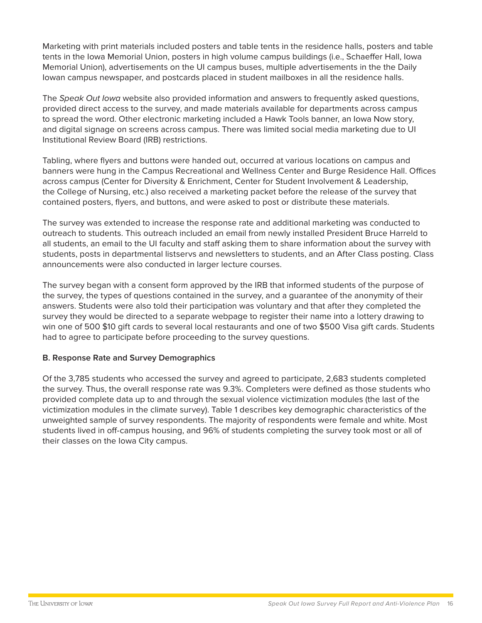Marketing with print materials included posters and table tents in the residence halls, posters and table tents in the Iowa Memorial Union, posters in high volume campus buildings (i.e., Schaeffer Hall, Iowa Memorial Union), advertisements on the UI campus buses, multiple advertisements in the the Daily Iowan campus newspaper, and postcards placed in student mailboxes in all the residence halls.

The Speak Out lowa website also provided information and answers to frequently asked questions, provided direct access to the survey, and made materials available for departments across campus to spread the word. Other electronic marketing included a Hawk Tools banner, an Iowa Now story, and digital signage on screens across campus. There was limited social media marketing due to UI Institutional Review Board (IRB) restrictions.

Tabling, where flyers and buttons were handed out, occurred at various locations on campus and banners were hung in the Campus Recreational and Wellness Center and Burge Residence Hall. Offices across campus (Center for Diversity & Enrichment, Center for Student Involvement & Leadership, the College of Nursing, etc.) also received a marketing packet before the release of the survey that contained posters, flyers, and buttons, and were asked to post or distribute these materials.

The survey was extended to increase the response rate and additional marketing was conducted to outreach to students. This outreach included an email from newly installed President Bruce Harreld to all students, an email to the UI faculty and staff asking them to share information about the survey with students, posts in departmental listservs and newsletters to students, and an After Class posting. Class announcements were also conducted in larger lecture courses.

The survey began with a consent form approved by the IRB that informed students of the purpose of the survey, the types of questions contained in the survey, and a guarantee of the anonymity of their answers. Students were also told their participation was voluntary and that after they completed the survey they would be directed to a separate webpage to register their name into a lottery drawing to win one of 500 \$10 gift cards to several local restaurants and one of two \$500 Visa gift cards. Students had to agree to participate before proceeding to the survey questions.

#### **B. Response Rate and Survey Demographics**

Of the 3,785 students who accessed the survey and agreed to participate, 2,683 students completed the survey. Thus, the overall response rate was 9.3%. Completers were defined as those students who provided complete data up to and through the sexual violence victimization modules (the last of the victimization modules in the climate survey). Table 1 describes key demographic characteristics of the unweighted sample of survey respondents. The majority of respondents were female and white. Most students lived in off-campus housing, and 96% of students completing the survey took most or all of their classes on the Iowa City campus.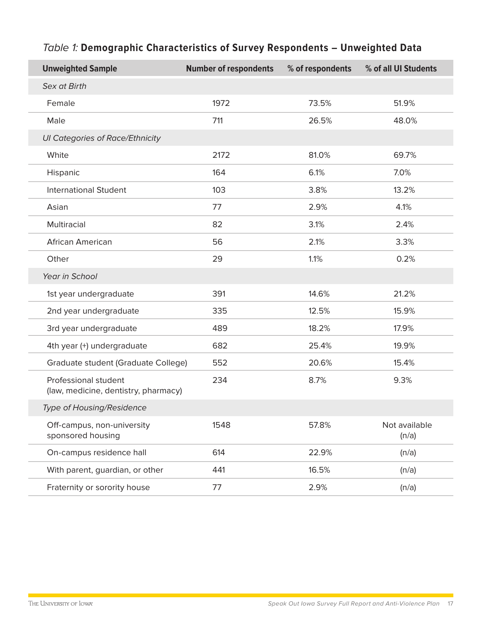| <b>Unweighted Sample</b>                                     | <b>Number of respondents</b> | % of respondents | % of all UI Students   |
|--------------------------------------------------------------|------------------------------|------------------|------------------------|
| Sex at Birth                                                 |                              |                  |                        |
| Female                                                       | 1972                         | 73.5%            | 51.9%                  |
| Male                                                         | 711                          | 26.5%            | 48.0%                  |
| <b>UI Categories of Race/Ethnicity</b>                       |                              |                  |                        |
| White                                                        | 2172                         | 81.0%            | 69.7%                  |
| Hispanic                                                     | 164                          | 6.1%             | 7.0%                   |
| <b>International Student</b>                                 | 103                          | 3.8%             | 13.2%                  |
| Asian                                                        | 77                           | 2.9%             | 4.1%                   |
| Multiracial                                                  | 82                           | 3.1%             | 2.4%                   |
| African American                                             | 56                           | 2.1%             | 3.3%                   |
| Other                                                        | 29                           | 1.1%             | 0.2%                   |
| Year in School                                               |                              |                  |                        |
| 1st year undergraduate                                       | 391                          | 14.6%            | 21.2%                  |
| 2nd year undergraduate                                       | 335                          | 12.5%            | 15.9%                  |
| 3rd year undergraduate                                       | 489                          | 18.2%            | 17.9%                  |
| 4th year (+) undergraduate                                   | 682                          | 25.4%            | 19.9%                  |
| Graduate student (Graduate College)                          | 552                          | 20.6%            | 15.4%                  |
| Professional student<br>(law, medicine, dentistry, pharmacy) | 234                          | 8.7%             | 9.3%                   |
| Type of Housing/Residence                                    |                              |                  |                        |
| Off-campus, non-university<br>sponsored housing              | 1548                         | 57.8%            | Not available<br>(n/a) |
| On-campus residence hall                                     | 614                          | 22.9%            | (n/a)                  |
| With parent, guardian, or other                              | 441                          | 16.5%            | (n/a)                  |
| Fraternity or sorority house                                 | 77                           | 2.9%             | (n/a)                  |

## Table 1: **Demographic Characteristics of Survey Respondents – Unweighted Data**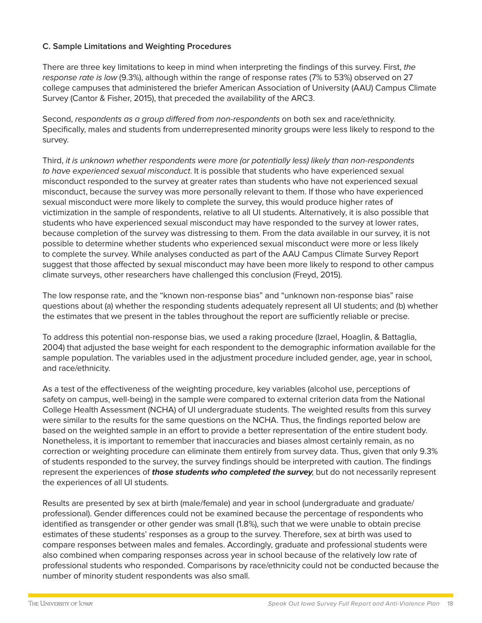#### **C. Sample Limitations and Weighting Procedures**

There are three key limitations to keep in mind when interpreting the findings of this survey. First, the response rate is low (9.3%), although within the range of response rates (7% to 53%) observed on 27 college campuses that administered the briefer American Association of University (AAU) Campus Climate Survey (Cantor & Fisher, 2015), that preceded the availability of the ARC3.

Second, respondents as a group differed from non-respondents on both sex and race/ethnicity. Specifically, males and students from underrepresented minority groups were less likely to respond to the survey.

Third, it is unknown whether respondents were more (or potentially less) likely than non-respondents to have experienced sexual misconduct. It is possible that students who have experienced sexual misconduct responded to the survey at greater rates than students who have not experienced sexual misconduct, because the survey was more personally relevant to them. If those who have experienced sexual misconduct were more likely to complete the survey, this would produce higher rates of victimization in the sample of respondents, relative to all UI students. Alternatively, it is also possible that students who have experienced sexual misconduct may have responded to the survey at lower rates, because completion of the survey was distressing to them. From the data available in our survey, it is not possible to determine whether students who experienced sexual misconduct were more or less likely to complete the survey. While analyses conducted as part of the AAU Campus Climate Survey Report suggest that those affected by sexual misconduct may have been more likely to respond to other campus climate surveys, other researchers have challenged this conclusion (Freyd, 2015).

The low response rate, and the "known non-response bias" and "unknown non-response bias" raise questions about (a) whether the responding students adequately represent all UI students; and (b) whether the estimates that we present in the tables throughout the report are sufficiently reliable or precise.

To address this potential non-response bias, we used a raking procedure (Izrael, Hoaglin, & Battaglia, 2004) that adjusted the base weight for each respondent to the demographic information available for the sample population. The variables used in the adjustment procedure included gender, age, year in school, and race/ethnicity.

As a test of the effectiveness of the weighting procedure, key variables (alcohol use, perceptions of safety on campus, well-being) in the sample were compared to external criterion data from the National College Health Assessment (NCHA) of UI undergraduate students. The weighted results from this survey were similar to the results for the same questions on the NCHA. Thus, the findings reported below are based on the weighted sample in an effort to provide a better representation of the entire student body. Nonetheless, it is important to remember that inaccuracies and biases almost certainly remain, as no correction or weighting procedure can eliminate them entirely from survey data. Thus, given that only 9.3% of students responded to the survey, the survey findings should be interpreted with caution. The findings represent the experiences of **those students who completed the survey**, but do not necessarily represent the experiences of all UI students.

Results are presented by sex at birth (male/female) and year in school (undergraduate and graduate/ professional). Gender differences could not be examined because the percentage of respondents who identified as transgender or other gender was small (1.8%), such that we were unable to obtain precise estimates of these students' responses as a group to the survey. Therefore, sex at birth was used to compare responses between males and females. Accordingly, graduate and professional students were also combined when comparing responses across year in school because of the relatively low rate of professional students who responded. Comparisons by race/ethnicity could not be conducted because the number of minority student respondents was also small.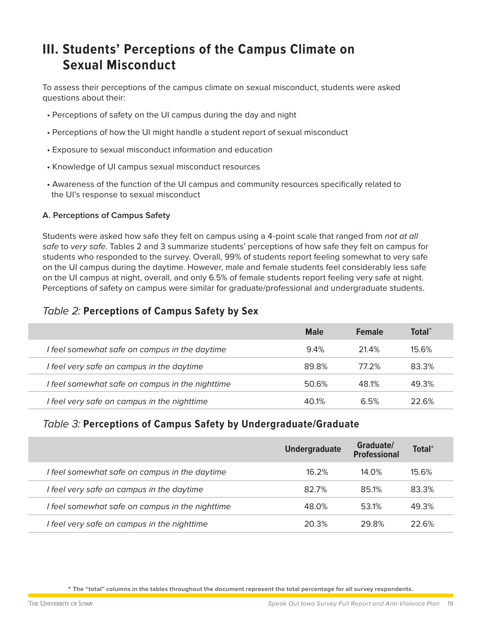# **III. Students' Perceptions of the Campus Climate on Sexual Misconduct**

To assess their perceptions of the campus climate on sexual misconduct, students were asked questions about their:

- Perceptions of safety on the UI campus during the day and night
- Perceptions of how the UI might handle a student report of sexual misconduct
- Exposure to sexual misconduct information and education
- Knowledge of UI campus sexual misconduct resources
- Awareness of the function of the UI campus and community resources specifically related to the UI's response to sexual misconduct

#### **A. Perceptions of Campus Safety**

Students were asked how safe they felt on campus using a 4-point scale that ranged from not at all safe to very safe. Tables 2 and 3 summarize students' perceptions of how safe they felt on campus for students who responded to the survey. Overall, 99% of students report feeling somewhat to very safe on the UI campus during the daytime. However, male and female students feel considerably less safe on the UI campus at night, overall, and only 6.5% of female students report feeling very safe at night. Perceptions of safety on campus were similar for graduate/professional and undergraduate students.

#### Table 2: **Perceptions of Campus Safety by Sex**

|                                                 | <b>Male</b> | <b>Female</b> | Total <sup>*</sup> |
|-------------------------------------------------|-------------|---------------|--------------------|
| I feel somewhat safe on campus in the daytime   | 9.4%        | 21.4%         | 15.6%              |
| I feel very safe on campus in the daytime       | 89.8%       | 772%          | 83.3%              |
| I feel somewhat safe on campus in the nighttime | 50.6%       | 48.1%         | 49.3%              |
| I feel very safe on campus in the nighttime     | 40.1%       | 6.5%          | 22.6%              |

#### Table 3: **Perceptions of Campus Safety by Undergraduate/Graduate**

|                                                 | <b>Undergraduate</b> | Graduate/<br><b>Professional</b> | Total <sup>*</sup> |
|-------------------------------------------------|----------------------|----------------------------------|--------------------|
| I feel somewhat safe on campus in the daytime   | 16.2%                | $14.0\%$                         | 15.6%              |
| I feel very safe on campus in the daytime       | 82.7%                | 85.1%                            | 83.3%              |
| I feel somewhat safe on campus in the nighttime | 48.0%                | 53.1%                            | 49.3%              |
| I feel very safe on campus in the nighttime     | 20.3%                | 29.8%                            | 22 6%              |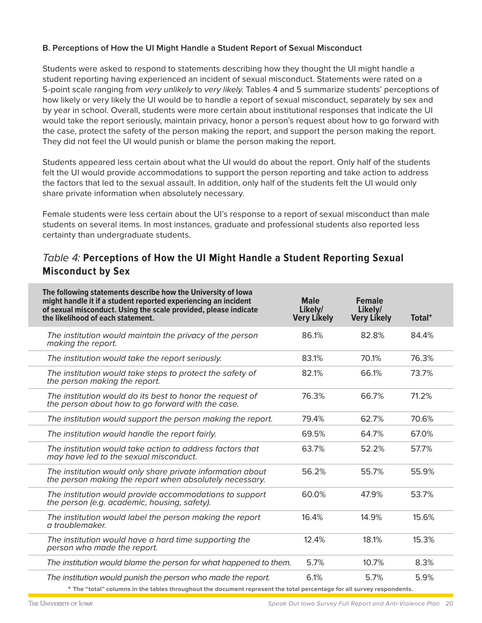#### **B. Perceptions of How the UI Might Handle a Student Report of Sexual Misconduct**

Students were asked to respond to statements describing how they thought the UI might handle a student reporting having experienced an incident of sexual misconduct. Statements were rated on a 5-point scale ranging from very unlikely to very likely. Tables 4 and 5 summarize students' perceptions of how likely or very likely the UI would be to handle a report of sexual misconduct, separately by sex and by year in school. Overall, students were more certain about institutional responses that indicate the UI would take the report seriously, maintain privacy, honor a person's request about how to go forward with the case, protect the safety of the person making the report, and support the person making the report. They did not feel the UI would punish or blame the person making the report.

Students appeared less certain about what the UI would do about the report. Only half of the students felt the UI would provide accommodations to support the person reporting and take action to address the factors that led to the sexual assault. In addition, only half of the students felt the UI would only share private information when absolutely necessary.

Female students were less certain about the UI's response to a report of sexual misconduct than male students on several items. In most instances, graduate and professional students also reported less certainty than undergraduate students.

## Table 4: **Perceptions of How the UI Might Handle a Student Reporting Sexual Misconduct by Sex**

| The following statements describe how the University of Iowa<br>might handle it if a student reported experiencing an incident<br>of sexual misconduct. Using the scale provided, please indicate<br>the likelihood of each statement. | <b>Male</b><br>Likely/<br><b>Very Likely</b> | <b>Female</b><br>Likely/<br><b>Very Likely</b> | Total* |
|----------------------------------------------------------------------------------------------------------------------------------------------------------------------------------------------------------------------------------------|----------------------------------------------|------------------------------------------------|--------|
| The institution would maintain the privacy of the person<br>making the report.                                                                                                                                                         | 86.1%                                        | 82.8%                                          | 84.4%  |
| The institution would take the report seriously.                                                                                                                                                                                       | 83.1%                                        | 70.1%                                          | 76.3%  |
| The institution would take steps to protect the safety of<br>the person making the report.                                                                                                                                             | 82.1%                                        | 66.1%                                          | 73.7%  |
| The institution would do its best to honor the request of<br>the person about how to go forward with the case.                                                                                                                         | 76.3%                                        | 66.7%                                          | 71.2%  |
| The institution would support the person making the report.                                                                                                                                                                            | 79.4%                                        | 62.7%                                          | 70.6%  |
| The institution would handle the report fairly.                                                                                                                                                                                        | 69.5%                                        | 64.7%                                          | 67.0%  |
| The institution would take action to address factors that<br>may have led to the sexual misconduct.                                                                                                                                    | 63.7%                                        | 52.2%                                          | 57.7%  |
| The institution would only share private information about<br>the person making the report when absolutely necessary.                                                                                                                  | 56.2%                                        | 55.7%                                          | 55.9%  |
| The institution would provide accommodations to support<br>the person (e.g. academic, housing, safety).                                                                                                                                | 60.0%                                        | 47.9%                                          | 53.7%  |
| The institution would label the person making the report<br>a troublemaker.                                                                                                                                                            | 16.4%                                        | 14.9%                                          | 15.6%  |
| The institution would have a hard time supporting the<br>person who made the report.                                                                                                                                                   | 12.4%                                        | 18.1%                                          | 15.3%  |
| The institution would blame the person for what happened to them.                                                                                                                                                                      | 5.7%                                         | 10.7%                                          | 8.3%   |
| The institution would punish the person who made the report.<br>* The "total" columns in the tables throughout the document represent the total percentage for all survey respondents.                                                 | 6.1%                                         | 5.7%                                           | 5.9%   |

The University of Iowa<sup>®</sup>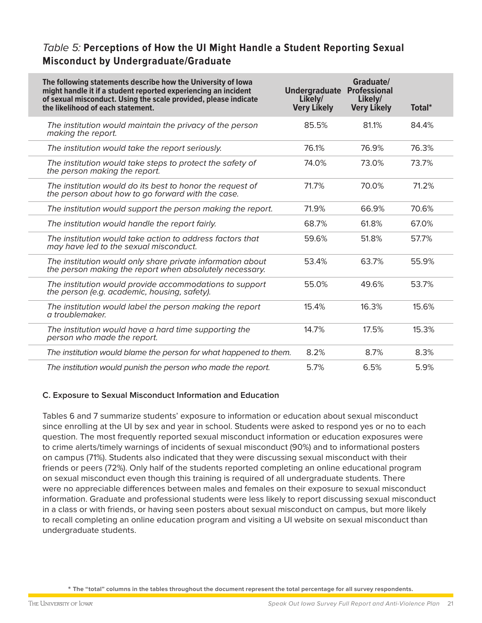## Table 5: **Perceptions of How the UI Might Handle a Student Reporting Sexual Misconduct by Undergraduate/Graduate**

| The following statements describe how the University of Iowa<br>might handle it if a student reported experiencing an incident<br>of sexual misconduct. Using the scale provided, please indicate<br>the likelihood of each statement. | <b>Undergraduate</b><br>Likely/<br><b>Very Likely</b> | Graduate/<br><b>Professional</b><br>Likely/<br><b>Very Likely</b> | Total* |
|----------------------------------------------------------------------------------------------------------------------------------------------------------------------------------------------------------------------------------------|-------------------------------------------------------|-------------------------------------------------------------------|--------|
| The institution would maintain the privacy of the person<br>making the report.                                                                                                                                                         | 85.5%                                                 | 81.1%                                                             | 84.4%  |
| The institution would take the report seriously.                                                                                                                                                                                       | 76.1%                                                 | 76.9%                                                             | 76.3%  |
| The institution would take steps to protect the safety of<br>the person making the report.                                                                                                                                             | 74.0%                                                 | 73.0%                                                             | 73.7%  |
| The institution would do its best to honor the request of<br>the person about how to go forward with the case.                                                                                                                         | 71.7%                                                 | 70.0%                                                             | 71.2%  |
| The institution would support the person making the report.                                                                                                                                                                            | 71.9%                                                 | 66.9%                                                             | 70.6%  |
| The institution would handle the report fairly.                                                                                                                                                                                        | 68.7%                                                 | 61.8%                                                             | 67.0%  |
| The institution would take action to address factors that<br>may have led to the sexual misconduct.                                                                                                                                    | 59.6%                                                 | 51.8%                                                             | 57.7%  |
| The institution would only share private information about<br>the person making the report when absolutely necessary.                                                                                                                  | 53.4%                                                 | 63.7%                                                             | 55.9%  |
| The institution would provide accommodations to support<br>the person (e.g. academic, housing, safety).                                                                                                                                | 55.0%                                                 | 49.6%                                                             | 53.7%  |
| The institution would label the person making the report<br>a troublemaker.                                                                                                                                                            | 15.4%                                                 | 16.3%                                                             | 15.6%  |
| The institution would have a hard time supporting the<br>person who made the report.                                                                                                                                                   | 14.7%                                                 | 17.5%                                                             | 15.3%  |
| The institution would blame the person for what happened to them.                                                                                                                                                                      | 8.2%                                                  | 8.7%                                                              | 8.3%   |
| The institution would punish the person who made the report.                                                                                                                                                                           | 5.7%                                                  | 6.5%                                                              | 5.9%   |

#### **C. Exposure to Sexual Misconduct Information and Education**

Tables 6 and 7 summarize students' exposure to information or education about sexual misconduct since enrolling at the UI by sex and year in school. Students were asked to respond yes or no to each question. The most frequently reported sexual misconduct information or education exposures were to crime alerts/timely warnings of incidents of sexual misconduct (90%) and to informational posters on campus (71%). Students also indicated that they were discussing sexual misconduct with their friends or peers (72%). Only half of the students reported completing an online educational program on sexual misconduct even though this training is required of all undergraduate students. There were no appreciable differences between males and females on their exposure to sexual misconduct information. Graduate and professional students were less likely to report discussing sexual misconduct in a class or with friends, or having seen posters about sexual misconduct on campus, but more likely to recall completing an online education program and visiting a UI website on sexual misconduct than undergraduate students.

**<sup>\*</sup> The "total" columns in the tables throughout the document represent the total percentage for all survey respondents.**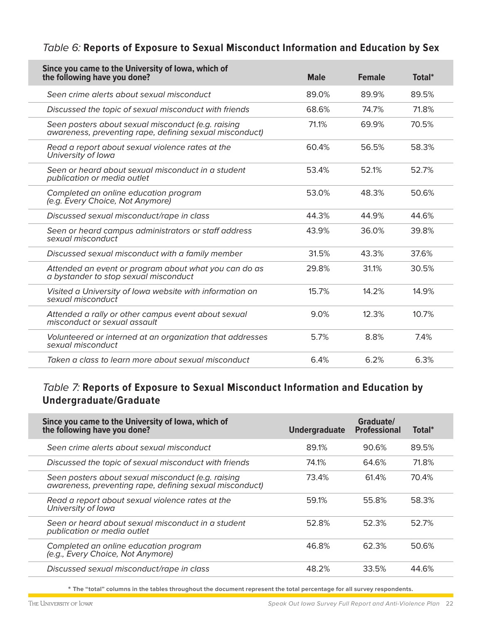## Table 6: **Reports of Exposure to Sexual Misconduct Information and Education by Sex**

| Since you came to the University of Iowa, which of<br>the following have you done?                            | <b>Male</b> | <b>Female</b> | Total* |
|---------------------------------------------------------------------------------------------------------------|-------------|---------------|--------|
| Seen crime alerts about sexual misconduct                                                                     | 89.0%       | 89.9%         | 89.5%  |
| Discussed the topic of sexual misconduct with friends                                                         | 68.6%       | 74.7%         | 71.8%  |
| Seen posters about sexual misconduct (e.g. raising<br>awareness, preventing rape, defining sexual misconduct) | 71.1%       | 69.9%         | 70.5%  |
| Read a report about sexual violence rates at the<br>University of Iowa                                        | 60.4%       | 56.5%         | 58.3%  |
| Seen or heard about sexual misconduct in a student<br>publication or media outlet                             | 53.4%       | 52.1%         | 52.7%  |
| Completed an online education program<br>(e.g. Every Choice, Not Anymore)                                     | 53.0%       | 48.3%         | 50.6%  |
| Discussed sexual misconduct/rape in class                                                                     | 44.3%       | 44.9%         | 44.6%  |
| Seen or heard campus administrators or staff address<br>sexual misconduct                                     | 43.9%       | 36.0%         | 39.8%  |
| Discussed sexual misconduct with a family member                                                              | 31.5%       | 43.3%         | 37.6%  |
| Attended an event or program about what you can do as<br>a bystander to stop sexual misconduct                | 29.8%       | 31.1%         | 30.5%  |
| Visited a University of lowa website with information on<br>sexual misconduct                                 | 15.7%       | 14.2%         | 14.9%  |
| Attended a rally or other campus event about sexual<br>misconduct or sexual assault                           | 9.0%        | 12.3%         | 10.7%  |
| Volunteered or interned at an organization that addresses<br>sexual misconduct                                | 5.7%        | 8.8%          | 7.4%   |
| Taken a class to learn more about sexual misconduct                                                           | 6.4%        | 6.2%          | 6.3%   |

## Table 7: **Reports of Exposure to Sexual Misconduct Information and Education by Undergraduate/Graduate**

| Since you came to the University of Iowa, which of<br>the following have you done?                            | <b>Undergraduate</b> | Graduate/<br><b>Professional</b> | Total* |
|---------------------------------------------------------------------------------------------------------------|----------------------|----------------------------------|--------|
| Seen crime alerts about sexual misconduct                                                                     | 89.1%                | 90.6%                            | 89.5%  |
| Discussed the topic of sexual misconduct with friends                                                         | 74.1%                | 64.6%                            | 71.8%  |
| Seen posters about sexual misconduct (e.g. raising<br>awareness, preventing rape, defining sexual misconduct) | 73.4%                | 61.4%                            | 70.4%  |
| Read a report about sexual violence rates at the<br>University of Iowa                                        | 59.1%                | 55.8%                            | 58.3%  |
| Seen or heard about sexual misconduct in a student<br>publication or media outlet                             | 52.8%                | 52.3%                            | 52.7%  |
| Completed an online education program<br>(e.g., Every Choice, Not Anymore)                                    | 46.8%                | 62.3%                            | 50.6%  |
| Discussed sexual misconduct/rape in class                                                                     | 48.2%                | 33.5%                            | 44.6%  |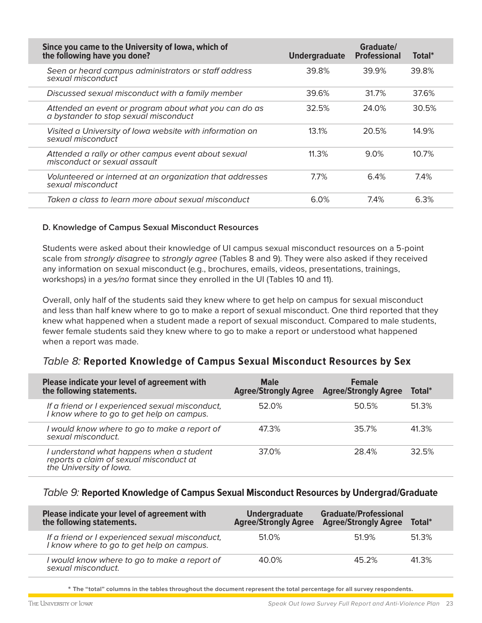| Since you came to the University of Iowa, which of<br>the following have you done?             | <b>Undergraduate</b> | Graduate/<br><b>Professional</b> | Total <sup>*</sup> |
|------------------------------------------------------------------------------------------------|----------------------|----------------------------------|--------------------|
| Seen or heard campus administrators or staff address<br>sexual misconduct                      | 39.8%                | 39.9%                            | 39.8%              |
| Discussed sexual misconduct with a family member                                               | 39.6%                | 31.7%                            | 37.6%              |
| Attended an event or program about what you can do as<br>a bystander to stop sexual misconduct | 32.5%                | 24.0%                            | 30.5%              |
| Visited a University of lowa website with information on<br>sexual misconduct                  | 13.1%                | 20.5%                            | 14.9%              |
| Attended a rally or other campus event about sexual<br>misconduct or sexual assault            | $11.3\%$             | 9.0%                             | $10.7\%$           |
| Volunteered or interned at an organization that addresses<br>sexual misconduct                 | 7.7%                 | 6.4%                             | 7.4%               |
| Taken a class to learn more about sexual misconduct                                            | $6.0\%$              | 7.4%                             | 6.3%               |

#### **D. Knowledge of Campus Sexual Misconduct Resources**

Students were asked about their knowledge of UI campus sexual misconduct resources on a 5-point scale from strongly disagree to strongly agree (Tables 8 and 9). They were also asked if they received any information on sexual misconduct (e.g., brochures, emails, videos, presentations, trainings, workshops) in a yes/no format since they enrolled in the UI (Tables 10 and 11).

Overall, only half of the students said they knew where to get help on campus for sexual misconduct and less than half knew where to go to make a report of sexual misconduct. One third reported that they knew what happened when a student made a report of sexual misconduct. Compared to male students, fewer female students said they knew where to go to make a report or understood what happened when a report was made.

#### Table 8: **Reported Knowledge of Campus Sexual Misconduct Resources by Sex**

| Please indicate your level of agreement with<br>the following statements.                                      | <b>Male</b><br><b>Agree/Strongly Agree</b> | <b>Female</b><br><b>Agree/Strongly Agree</b> | Total <sup>*</sup> |
|----------------------------------------------------------------------------------------------------------------|--------------------------------------------|----------------------------------------------|--------------------|
| If a friend or I experienced sexual misconduct,<br>I know where to go to get help on campus.                   | 52.0%                                      | 50.5%                                        | 51.3%              |
| I would know where to go to make a report of<br>sexual misconduct.                                             | 47.3%                                      | 35.7%                                        | 41.3%              |
| I understand what happens when a student<br>reports a claim of sexual misconduct at<br>the University of Iowa. | 37.0%                                      | 28.4%                                        | 32.5%              |

#### Table 9: **Reported Knowledge of Campus Sexual Misconduct Resources by Undergrad/Graduate**

| Please indicate your level of agreement with<br>the following statements.                    | <b>Undergraduate</b><br><b>Agree/Strongly Agree</b> | <b>Graduate/Professional</b><br><b>Agree/Strongly Agree</b> | Total* |
|----------------------------------------------------------------------------------------------|-----------------------------------------------------|-------------------------------------------------------------|--------|
| If a friend or I experienced sexual misconduct,<br>I know where to go to get help on campus. | 51.0%                                               | 519%                                                        | 51.3%  |
| I would know where to go to make a report of<br>sexual misconduct.                           | 40.0%                                               | 45.2%                                                       | 41.3%  |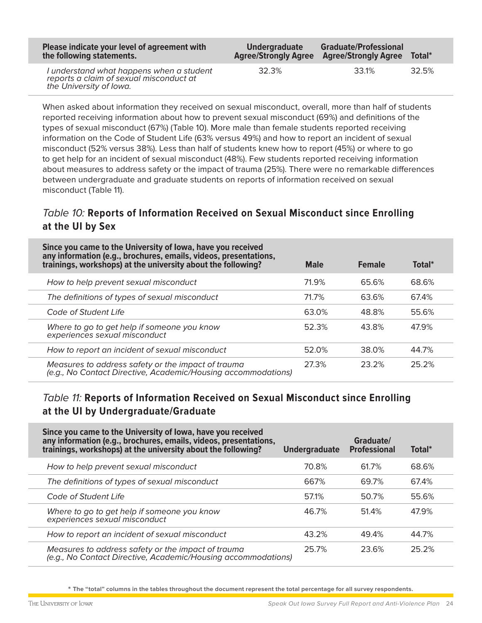| Please indicate your level of agreement with                                                                   | <b>Undergraduate</b>        | <b>Graduate/Professional</b>       |       |
|----------------------------------------------------------------------------------------------------------------|-----------------------------|------------------------------------|-------|
| the following statements.                                                                                      | <b>Agree/Strongly Agree</b> | <b>Agree/Strongly Agree Total*</b> |       |
| I understand what happens when a student<br>reports a claim of sexual misconduct at<br>the University of Iowa. | 32.3%                       | 33.1%                              | 32.5% |

When asked about information they received on sexual misconduct, overall, more than half of students reported receiving information about how to prevent sexual misconduct (69%) and definitions of the types of sexual misconduct (67%) (Table 10). More male than female students reported receiving information on the Code of Student Life (63% versus 49%) and how to report an incident of sexual misconduct (52% versus 38%). Less than half of students knew how to report (45%) or where to go to get help for an incident of sexual misconduct (48%). Few students reported receiving information about measures to address safety or the impact of trauma (25%). There were no remarkable differences between undergraduate and graduate students on reports of information received on sexual misconduct (Table 11).

## Table 10: **Reports of Information Received on Sexual Misconduct since Enrolling at the UI by Sex**

| Since you came to the University of Iowa, have you received<br>any information (e.g., brochures, emails, videos, presentations,<br>trainings, workshops) at the university about the following? | <b>Male</b> | <b>Female</b> | Total <sup>*</sup> |
|-------------------------------------------------------------------------------------------------------------------------------------------------------------------------------------------------|-------------|---------------|--------------------|
| How to help prevent sexual misconduct                                                                                                                                                           | 71.9%       | 65.6%         | 68.6%              |
| The definitions of types of sexual misconduct                                                                                                                                                   | 71.7%       | 63.6%         | 67.4%              |
| Code of Student Life                                                                                                                                                                            | 63.0%       | 48.8%         | 55.6%              |
| Where to go to get help if someone you know<br>experiences sexual misconduct                                                                                                                    | 52.3%       | 43.8%         | 47.9%              |
| How to report an incident of sexual misconduct                                                                                                                                                  | 52.0%       | 38.0%         | 44.7%              |
| Measures to address safety or the impact of trauma<br>(e.g., No Contact Directive, Academic/Housing accommodations)                                                                             | 27.3%       | 23.2%         | 25.2%              |

## Table 11: **Reports of Information Received on Sexual Misconduct since Enrolling at the UI by Undergraduate/Graduate**

| Since you came to the University of Iowa, have you received<br>any information (e.g., brochures, emails, videos, presentations,<br>trainings, workshops) at the university about the following? | <b>Undergraduate</b> | Graduate/<br><b>Professional</b> | Total <sup>*</sup> |
|-------------------------------------------------------------------------------------------------------------------------------------------------------------------------------------------------|----------------------|----------------------------------|--------------------|
| How to help prevent sexual misconduct                                                                                                                                                           | 70.8%                | 61.7%                            | 68.6%              |
| The definitions of types of sexual misconduct                                                                                                                                                   | 667%                 | 69.7%                            | 67.4%              |
| Code of Student Life                                                                                                                                                                            | 57.1%                | 50.7%                            | 55.6%              |
| Where to go to get help if someone you know<br>experiences sexual misconduct                                                                                                                    | 46.7%                | 51.4%                            | 47.9%              |
| How to report an incident of sexual misconduct                                                                                                                                                  | 43.2%                | 49.4%                            | 44.7%              |
| Measures to address safety or the impact of trauma<br>(e.g., No Contact Directive, Academic/Housing accommodations)                                                                             | 25.7%                | 23.6%                            | 25.2%              |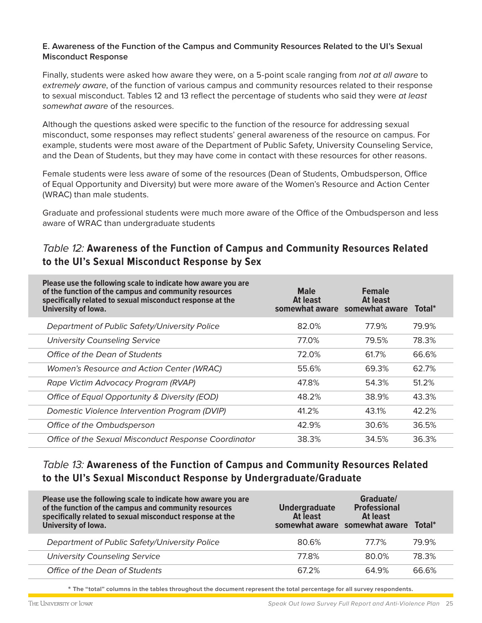#### **E. Awareness of the Function of the Campus and Community Resources Related to the UI's Sexual Misconduct Response**

Finally, students were asked how aware they were, on a 5-point scale ranging from not at all aware to extremely aware, of the function of various campus and community resources related to their response to sexual misconduct. Tables 12 and 13 reflect the percentage of students who said they were at least somewhat aware of the resources.

Although the questions asked were specific to the function of the resource for addressing sexual misconduct, some responses may reflect students' general awareness of the resource on campus. For example, students were most aware of the Department of Public Safety, University Counseling Service, and the Dean of Students, but they may have come in contact with these resources for other reasons.

Female students were less aware of some of the resources (Dean of Students, Ombudsperson, Office of Equal Opportunity and Diversity) but were more aware of the Women's Resource and Action Center (WRAC) than male students.

Graduate and professional students were much more aware of the Office of the Ombudsperson and less aware of WRAC than undergraduate students

## Table 12: **Awareness of the Function of Campus and Community Resources Related to the UI's Sexual Misconduct Response by Sex**

| Please use the following scale to indicate how aware you are<br>of the function of the campus and community resources<br>specifically related to sexual misconduct response at the<br>University of Iowa. | <b>Male</b><br>At least<br>somewhat aware somewhat aware | <b>Female</b><br>At least | Total* |
|-----------------------------------------------------------------------------------------------------------------------------------------------------------------------------------------------------------|----------------------------------------------------------|---------------------------|--------|
| Department of Public Safety/University Police                                                                                                                                                             | 82.0%                                                    | 77.9%                     | 79.9%  |
| <b>University Counseling Service</b>                                                                                                                                                                      | 77.0%                                                    | 79.5%                     | 78.3%  |
| Office of the Dean of Students                                                                                                                                                                            | 72.0%                                                    | 61.7%                     | 66.6%  |
| <b>Women's Resource and Action Center (WRAC)</b>                                                                                                                                                          | 55.6%                                                    | 69.3%                     | 62.7%  |
| Rape Victim Advocacy Program (RVAP)                                                                                                                                                                       | 47.8%                                                    | 54.3%                     | 51.2%  |
| Office of Equal Opportunity & Diversity (EOD)                                                                                                                                                             | 48.2%                                                    | 38.9%                     | 43.3%  |
| Domestic Violence Intervention Program (DVIP)                                                                                                                                                             | 41.2%                                                    | 43.1%                     | 42.2%  |
| Office of the Ombudsperson                                                                                                                                                                                | 42.9%                                                    | 30.6%                     | 36.5%  |
| Office of the Sexual Misconduct Response Coordinator                                                                                                                                                      | 38.3%                                                    | 34.5%                     | 36.3%  |

## Table 13: **Awareness of the Function of Campus and Community Resources Related to the UI's Sexual Misconduct Response by Undergraduate/Graduate**

| Please use the following scale to indicate how aware you are<br>of the function of the campus and community resources<br>specifically related to sexual misconduct response at the<br>University of Iowa. | <b>Undergraduate</b><br>At least | Graduate/<br><b>Professional</b><br><b>At least</b><br>somewhat aware somewhat aware Total* |       |
|-----------------------------------------------------------------------------------------------------------------------------------------------------------------------------------------------------------|----------------------------------|---------------------------------------------------------------------------------------------|-------|
| Department of Public Safety/University Police                                                                                                                                                             | 80.6%                            | 77.7%                                                                                       | 79.9% |
| <b>University Counseling Service</b>                                                                                                                                                                      | 77.8%                            | 80.0%                                                                                       | 78.3% |
| Office of the Dean of Students                                                                                                                                                                            | 672%                             | 64.9%                                                                                       | 66.6% |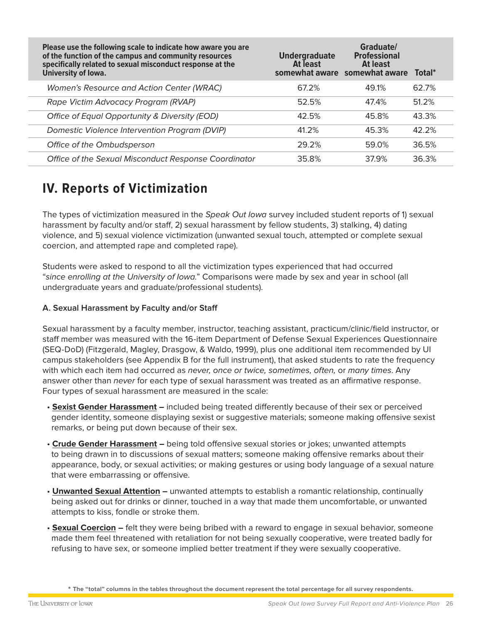| Please use the following scale to indicate how aware you are<br>of the function of the campus and community resources<br>specifically related to sexual misconduct response at the<br>University of Iowa. | <b>Undergraduate</b><br>At least | Graduate/<br><b>Professional</b><br>At least<br>somewhat aware somewhat aware | Total <sup>*</sup> |
|-----------------------------------------------------------------------------------------------------------------------------------------------------------------------------------------------------------|----------------------------------|-------------------------------------------------------------------------------|--------------------|
| Women's Resource and Action Center (WRAC)                                                                                                                                                                 | 672%                             | 49.1%                                                                         | 62.7%              |
| Rape Victim Advocacy Program (RVAP)                                                                                                                                                                       | 52.5%                            | 47.4%                                                                         | 51.2%              |
| Office of Equal Opportunity & Diversity (EOD)                                                                                                                                                             | 42.5%                            | 45.8%                                                                         | 43.3%              |
| Domestic Violence Intervention Program (DVIP)                                                                                                                                                             | 41 2%                            | 45.3%                                                                         | 42.2%              |
| Office of the Ombudsperson                                                                                                                                                                                | 29.2%                            | 59.0%                                                                         | 36.5%              |
| Office of the Sexual Misconduct Response Coordinator                                                                                                                                                      | 35.8%                            | 379%                                                                          | 36.3%              |

# **IV. Reports of Victimization**

The types of victimization measured in the Speak Out lowa survey included student reports of 1) sexual harassment by faculty and/or staff, 2) sexual harassment by fellow students, 3) stalking, 4) dating violence, and 5) sexual violence victimization (unwanted sexual touch, attempted or complete sexual coercion, and attempted rape and completed rape).

Students were asked to respond to all the victimization types experienced that had occurred "since enrolling at the University of Iowa." Comparisons were made by sex and year in school (all undergraduate years and graduate/professional students).

#### **A. Sexual Harassment by Faculty and/or Staff**

Sexual harassment by a faculty member, instructor, teaching assistant, practicum/clinic/field instructor, or staff member was measured with the 16-item Department of Defense Sexual Experiences Questionnaire (SEQ-DoD) (Fitzgerald, Magley, Drasgow, & Waldo, 1999), plus one additional item recommended by UI campus stakeholders (see Appendix B for the full instrument), that asked students to rate the frequency with which each item had occurred as never, once or twice, sometimes, often, or many times. Any answer other than never for each type of sexual harassment was treated as an affirmative response. Four types of sexual harassment are measured in the scale:

- **Sexist Gender Harassment –** included being treated differently because of their sex or perceived gender identity, someone displaying sexist or suggestive materials; someone making offensive sexist remarks, or being put down because of their sex.
- **Crude Gender Harassment –** being told offensive sexual stories or jokes; unwanted attempts to being drawn in to discussions of sexual matters; someone making offensive remarks about their appearance, body, or sexual activities; or making gestures or using body language of a sexual nature that were embarrassing or offensive.
- **Unwanted Sexual Attention –** unwanted attempts to establish a romantic relationship, continually being asked out for drinks or dinner, touched in a way that made them uncomfortable, or unwanted attempts to kiss, fondle or stroke them.
- **Sexual Coercion –** felt they were being bribed with a reward to engage in sexual behavior, someone made them feel threatened with retaliation for not being sexually cooperative, were treated badly for refusing to have sex, or someone implied better treatment if they were sexually cooperative.

**\* The "total" columns in the tables throughout the document represent the total percentage for all survey respondents.**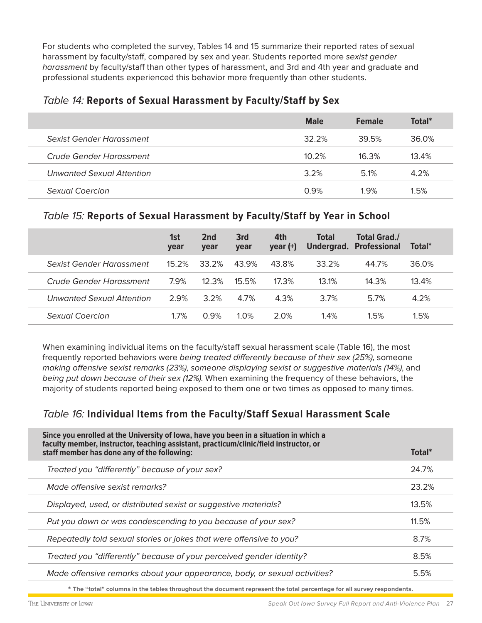For students who completed the survey, Tables 14 and 15 summarize their reported rates of sexual harassment by faculty/staff, compared by sex and year. Students reported more sexist gender harassment by faculty/staff than other types of harassment, and 3rd and 4th year and graduate and professional students experienced this behavior more frequently than other students.

#### Table 14: **Reports of Sexual Harassment by Faculty/Staff by Sex**

|                                  | <b>Male</b> | <b>Female</b> | Total* |
|----------------------------------|-------------|---------------|--------|
| Sexist Gender Harassment         | 32.2%       | 39.5%         | 36.0%  |
| Crude Gender Harassment          | 10.2%       | 16.3%         | 13.4%  |
| <b>Unwanted Sexual Attention</b> | 3.2%        | 5.1%          | 4.2%   |
| <b>Sexual Coercion</b>           | 0.9%        | 19%           | .5%    |

#### Table 15: **Reports of Sexual Harassment by Faculty/Staff by Year in School**

|                           | 1st<br>year | 2 <sub>nd</sub><br>year | 3rd<br>year | 4th<br>$\gamma$ ear $(+)$ | <b>Total</b> | Total Grad./<br>Undergrad. Professional | Total <sup>*</sup> |
|---------------------------|-------------|-------------------------|-------------|---------------------------|--------------|-----------------------------------------|--------------------|
| Sexist Gender Harassment  | 15.2%       | 33.2%                   | 43.9%       | 43.8%                     | 33.2%        | 44.7%                                   | 36.0%              |
| Crude Gender Harassment   | 7.9%        | $12.3\%$                | 15.5%       | 17.3%                     | 13.1%        | 14.3%                                   | 13.4%              |
| Unwanted Sexual Attention | 29%         | 32%                     | 4.7%        | 4.3%                      | 3.7%         | 5.7%                                    | 4.2%               |
| Sexual Coercion           | 1.7%        | 0.9%                    | 1.0%        | 2.0%                      | 1.4%         | 1.5%                                    | 1.5%               |

When examining individual items on the faculty/staff sexual harassment scale (Table 16), the most frequently reported behaviors were being treated differently because of their sex (25%), someone making offensive sexist remarks (23%), someone displaying sexist or suggestive materials (14%), and being put down because of their sex (12%). When examining the frequency of these behaviors, the majority of students reported being exposed to them one or two times as opposed to many times.

## Table 16: **Individual Items from the Faculty/Staff Sexual Harassment Scale**

| Since you enrolled at the University of Iowa, have you been in a situation in which a<br>faculty member, instructor, teaching assistant, practicum/clinic/field instructor, or |                    |
|--------------------------------------------------------------------------------------------------------------------------------------------------------------------------------|--------------------|
| staff member has done any of the following:                                                                                                                                    | Total <sup>*</sup> |
| Treated you "differently" because of your sex?                                                                                                                                 | 24.7%              |
| Made offensive sexist remarks?                                                                                                                                                 | 23.2%              |
| Displayed, used, or distributed sexist or suggestive materials?                                                                                                                | 13.5%              |
| Put you down or was condescending to you because of your sex?                                                                                                                  | 11.5%              |
| Repeatedly told sexual stories or jokes that were offensive to you?                                                                                                            | 8.7%               |
| Treated you "differently" because of your perceived gender identity?                                                                                                           | 8.5%               |
| Made offensive remarks about your appearance, body, or sexual activities?                                                                                                      | 5.5%               |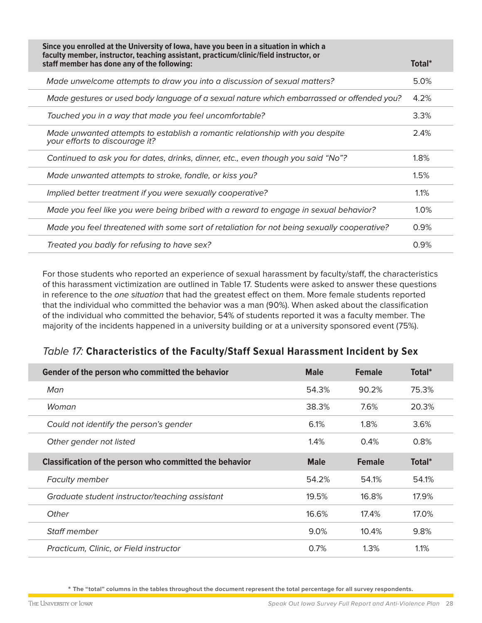| Since you enrolled at the University of Iowa, have you been in a situation in which a<br>faculty member, instructor, teaching assistant, practicum/clinic/field instructor, or<br>staff member has done any of the following: | Total <sup>*</sup> |
|-------------------------------------------------------------------------------------------------------------------------------------------------------------------------------------------------------------------------------|--------------------|
| Made unwelcome attempts to draw you into a discussion of sexual matters?                                                                                                                                                      | 5.0%               |
| Made gestures or used body language of a sexual nature which embarrassed or offended you?                                                                                                                                     | 4.2%               |
| Touched you in a way that made you feel uncomfortable?                                                                                                                                                                        | 3.3%               |
| Made unwanted attempts to establish a romantic relationship with you despite<br>your efforts to discourage it?                                                                                                                | 2.4%               |
| Continued to ask you for dates, drinks, dinner, etc., even though you said "No"?                                                                                                                                              | 1.8%               |
| Made unwanted attempts to stroke, fondle, or kiss you?                                                                                                                                                                        | 1.5%               |
| Implied better treatment if you were sexually cooperative?                                                                                                                                                                    | 1.1%               |
| Made you feel like you were being bribed with a reward to engage in sexual behavior?                                                                                                                                          | 1.0%               |
| Made you feel threatened with some sort of retaliation for not being sexually cooperative?                                                                                                                                    | 0.9%               |
| Treated you badly for refusing to have sex?                                                                                                                                                                                   | 0.9%               |

For those students who reported an experience of sexual harassment by faculty/staff, the characteristics of this harassment victimization are outlined in Table 17. Students were asked to answer these questions in reference to the one situation that had the greatest effect on them. More female students reported that the individual who committed the behavior was a man (90%). When asked about the classification of the individual who committed the behavior, 54% of students reported it was a faculty member. The majority of the incidents happened in a university building or at a university sponsored event (75%).

## Table 17: **Characteristics of the Faculty/Staff Sexual Harassment Incident by Sex**

| Gender of the person who committed the behavior                | <b>Male</b> | <b>Female</b> | Total*             |
|----------------------------------------------------------------|-------------|---------------|--------------------|
| Man                                                            | 54.3%       | 90.2%         | 75.3%              |
| Woman                                                          | 38.3%       | 7.6%          | 20.3%              |
| Could not identify the person's gender                         | 6.1%        | 1.8%          | 3.6%               |
| Other gender not listed                                        | 1.4%        | 0.4%          | 0.8%               |
|                                                                | <b>Male</b> | <b>Female</b> | Total <sup>*</sup> |
| <b>Classification of the person who committed the behavior</b> |             |               |                    |
| <b>Faculty member</b>                                          | 54.2%       | 54.1%         | 54.1%              |
| Graduate student instructor/teaching assistant                 | 19.5%       | 16.8%         | 17.9%              |
| Other                                                          | 16.6%       | 17.4%         | 17.0%              |
| Staff member                                                   | 9.0%        | 10.4%         | 9.8%               |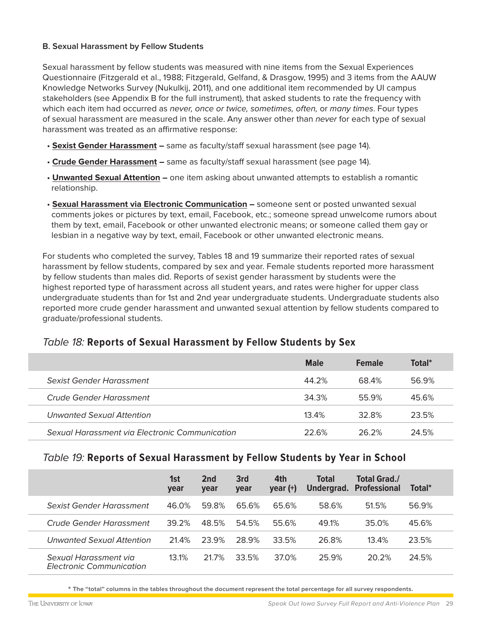#### **B. Sexual Harassment by Fellow Students**

Sexual harassment by fellow students was measured with nine items from the Sexual Experiences Questionnaire (Fitzgerald et al., 1988; Fitzgerald, Gelfand, & Drasgow, 1995) and 3 items from the AAUW Knowledge Networks Survey (Nukulkij, 2011), and one additional item recommended by UI campus stakeholders (see Appendix B for the full instrument), that asked students to rate the frequency with which each item had occurred as never, once or twice, sometimes, often, or many times. Four types of sexual harassment are measured in the scale. Any answer other than never for each type of sexual harassment was treated as an affirmative response:

- **Sexist Gender Harassment –** same as faculty/staff sexual harassment (see page 14).
- **Crude Gender Harassment –** same as faculty/staff sexual harassment (see page 14).
- **Unwanted Sexual Attention –** one item asking about unwanted attempts to establish a romantic relationship.
- **Sexual Harassment via Electronic Communication –** someone sent or posted unwanted sexual comments jokes or pictures by text, email, Facebook, etc.; someone spread unwelcome rumors about them by text, email, Facebook or other unwanted electronic means; or someone called them gay or lesbian in a negative way by text, email, Facebook or other unwanted electronic means.

For students who completed the survey, Tables 18 and 19 summarize their reported rates of sexual harassment by fellow students, compared by sex and year. Female students reported more harassment by fellow students than males did. Reports of sexist gender harassment by students were the highest reported type of harassment across all student years, and rates were higher for upper class undergraduate students than for 1st and 2nd year undergraduate students. Undergraduate students also reported more crude gender harassment and unwanted sexual attention by fellow students compared to graduate/professional students.

#### Table 18: **Reports of Sexual Harassment by Fellow Students by Sex**

|                                                | <b>Male</b> | <b>Female</b> | Total <sup>*</sup> |
|------------------------------------------------|-------------|---------------|--------------------|
| Sexist Gender Harassment                       | 44.2%       | 68.4%         | 56.9%              |
| Crude Gender Harassment                        | 34.3%       | 55.9%         | 45.6%              |
| Unwanted Sexual Attention                      | 13.4%       | 32.8%         | 23.5%              |
| Sexual Harassment via Electronic Communication | 22.6%       | 26.2%         | 24.5%              |

## Table 19: **Reports of Sexual Harassment by Fellow Students by Year in School**

|                                                   | 1st<br>year | 2 <sub>nd</sub><br>year | 3rd<br>year | 4th<br>$\mathsf{year}(\mathsf{+})$ | <b>Total</b> | Total Grad./<br><b>Undergrad. Professional</b> | Total <sup>*</sup> |
|---------------------------------------------------|-------------|-------------------------|-------------|------------------------------------|--------------|------------------------------------------------|--------------------|
| Sexist Gender Harassment                          | 46.0%       | 59.8%                   | 65.6%       | 65.6%                              | 58.6%        | 51.5%                                          | 56.9%              |
| Crude Gender Harassment                           | 39.2%       | 48.5%                   | 54.5%       | 55.6%                              | 49.1%        | 35.0%                                          | 45.6%              |
| Unwanted Sexual Attention                         | 214%        | 23.9%                   | 28.9%       | 33.5%                              | 26.8%        | 13.4%                                          | 23.5%              |
| Sexual Harassment via<br>Electronic Communication | 13.1%       | 217%                    | 33.5%       | 370%                               | 25.9%        | 20.2%                                          | 24.5%              |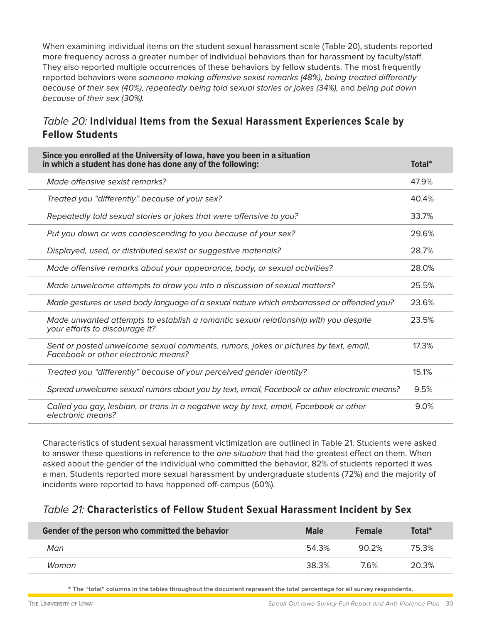When examining individual items on the student sexual harassment scale (Table 20), students reported more frequency across a greater number of individual behaviors than for harassment by faculty/staff. They also reported multiple occurrences of these behaviors by fellow students. The most frequently reported behaviors were someone making offensive sexist remarks (48%), being treated differently because of their sex (40%), repeatedly being told sexual stories or jokes (34%), and being put down because of their sex (30%).

## Table 20: **Individual Items from the Sexual Harassment Experiences Scale by Fellow Students**

| Since you enrolled at the University of Iowa, have you been in a situation<br>in which a student has done has done any of the following: | Total <sup>*</sup> |
|------------------------------------------------------------------------------------------------------------------------------------------|--------------------|
| Made offensive sexist remarks?                                                                                                           | 47.9%              |
| Treated you "differently" because of your sex?                                                                                           | 40.4%              |
| Repeatedly told sexual stories or jokes that were offensive to you?                                                                      | 33.7%              |
| Put you down or was condescending to you because of your sex?                                                                            | 29.6%              |
| Displayed, used, or distributed sexist or suggestive materials?                                                                          | 28.7%              |
| Made offensive remarks about your appearance, body, or sexual activities?                                                                | 28.0%              |
| Made unwelcome attempts to draw you into a discussion of sexual matters?                                                                 | 25.5%              |
| Made gestures or used body language of a sexual nature which embarrassed or offended you?                                                | 23.6%              |
| Made unwanted attempts to establish a romantic sexual relationship with you despite<br>your efforts to discourage it?                    | 23.5%              |
| Sent or posted unwelcome sexual comments, rumors, jokes or pictures by text, email,<br>Facebook or other electronic means?               | 17.3%              |
| Treated you "differently" because of your perceived gender identity?                                                                     | 15.1%              |
| Spread unwelcome sexual rumors about you by text, email, Facebook or other electronic means?                                             | 9.5%               |
| Called you gay, lesbian, or trans in a negative way by text, email, Facebook or other<br>electronic means?                               | 9.0%               |

Characteristics of student sexual harassment victimization are outlined in Table 21. Students were asked to answer these questions in reference to the one situation that had the greatest effect on them. When asked about the gender of the individual who committed the behavior, 82% of students reported it was a man. Students reported more sexual harassment by undergraduate students (72%) and the majority of incidents were reported to have happened off-campus (60%).

## Table 21: **Characteristics of Fellow Student Sexual Harassment Incident by Sex**

| Gender of the person who committed the behavior | <b>Male</b> | <b>Female</b> | Total* |
|-------------------------------------------------|-------------|---------------|--------|
| Man                                             | 54.3%       | 90.2%         | 75.3%  |
| Woman                                           | 38.3%       | 7.6%          | 20.3%  |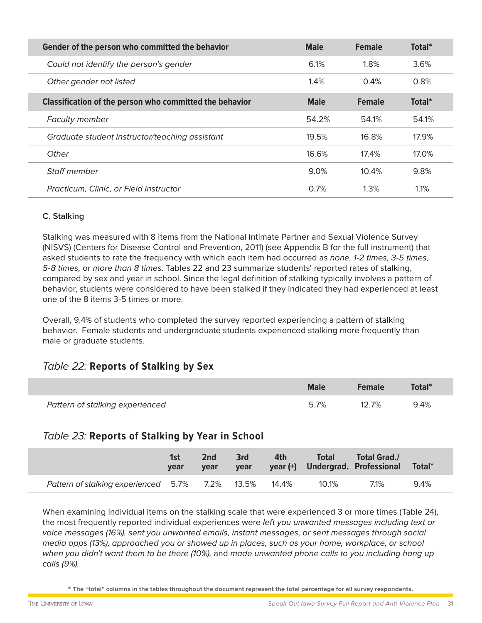| Gender of the person who committed the behavior                | <b>Male</b> | <b>Female</b> | Total <sup>*</sup> |
|----------------------------------------------------------------|-------------|---------------|--------------------|
| Could not identify the person's gender                         | 6.1%        | 1.8%          | 3.6%               |
| Other gender not listed                                        | 1.4%        | 0.4%          | 0.8%               |
| <b>Classification of the person who committed the behavior</b> | <b>Male</b> | <b>Female</b> | Total <sup>*</sup> |
| <b>Faculty member</b>                                          | 54.2%       | 54.1%         | 54.1%              |
| Graduate student instructor/teaching assistant                 | 19.5%       | 16.8%         | 17.9%              |
| Other                                                          | 16.6%       | 17.4%         | 17.0%              |
| Staff member                                                   | 9.0%        | 10.4%         | 9.8%               |
| Practicum, Clinic, or Field instructor                         | $0.7\%$     | 1.3%          | 1.1%               |

#### **C. Stalking**

Stalking was measured with 8 items from the National Intimate Partner and Sexual Violence Survey (NISVS) (Centers for Disease Control and Prevention, 2011) (see Appendix B for the full instrument) that asked students to rate the frequency with which each item had occurred as none, 1-2 times, 3-5 times, 5-8 times, or more than 8 times. Tables 22 and 23 summarize students' reported rates of stalking, compared by sex and year in school. Since the legal definition of stalking typically involves a pattern of behavior, students were considered to have been stalked if they indicated they had experienced at least one of the 8 items 3-5 times or more.

Overall, 9.4% of students who completed the survey reported experiencing a pattern of stalking behavior. Female students and undergraduate students experienced stalking more frequently than male or graduate students.

## Table 22: **Reports of Stalking by Sex**

|                                 | <b>Male</b> | <b>Female</b> | Total* |
|---------------------------------|-------------|---------------|--------|
| Pattern of stalking experienced | 5.7%        | 12.7%         | 9.4%   |

## Table 23: **Reports of Stalking by Year in School**

|                                                 | 1st<br>vear | 2 <sub>nd</sub><br><b>vear</b> | 3rd<br><b>vear</b> | 4th   | <b>Total</b> | Total Grad./<br>year (+) Undergrad. Professional Total* |      |
|-------------------------------------------------|-------------|--------------------------------|--------------------|-------|--------------|---------------------------------------------------------|------|
| Pattern of stalking experienced 5.7% 7.2% 13.5% |             |                                |                    | 14.4% | 10.1%        | 7.1%                                                    | 9.4% |

When examining individual items on the stalking scale that were experienced 3 or more times (Table 24), the most frequently reported individual experiences were left you unwanted messages including text or voice messages (16%), sent you unwanted emails, instant messages, or sent messages through social media apps (13%), approached you or showed up in places, such as your home, workplace, or school when you didn't want them to be there (10%), and made unwanted phone calls to you including hang up calls (9%).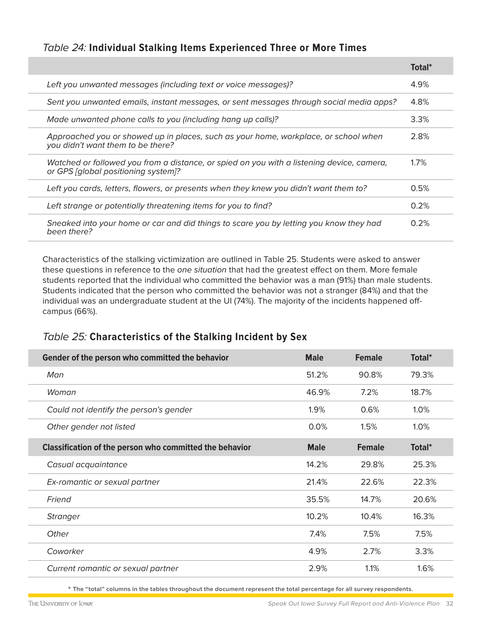#### Table 24: **Individual Stalking Items Experienced Three or More Times**

|                                                                                                                                  | Total*  |
|----------------------------------------------------------------------------------------------------------------------------------|---------|
| Left you unwanted messages (including text or voice messages)?                                                                   | 4.9%    |
| Sent you unwanted emails, instant messages, or sent messages through social media apps?                                          | 4.8%    |
| Made unwanted phone calls to you (including hang up calls)?                                                                      | $3.3\%$ |
| Approached you or showed up in places, such as your home, workplace, or school when<br>you didn't want them to be there?         | 2.8%    |
| Watched or followed you from a distance, or spied on you with a listening device, camera,<br>or GPS [global positioning system]? | $1.7\%$ |
| Left you cards, letters, flowers, or presents when they knew you didn't want them to?                                            | 0.5%    |
| Left strange or potentially threatening items for you to find?                                                                   | 0.2%    |
| Sneaked into your home or car and did things to scare you by letting you know they had<br>been there?                            | 0.2%    |

Characteristics of the stalking victimization are outlined in Table 25. Students were asked to answer these questions in reference to the one situation that had the greatest effect on them. More female students reported that the individual who committed the behavior was a man (91%) than male students. Students indicated that the person who committed the behavior was not a stranger (84%) and that the individual was an undergraduate student at the UI (74%). The majority of the incidents happened offcampus (66%).

## Table 25: **Characteristics of the Stalking Incident by Sex**

| Gender of the person who committed the behavior                | <b>Male</b> | <b>Female</b> | Total* |
|----------------------------------------------------------------|-------------|---------------|--------|
| Man                                                            | 51.2%       | 90.8%         | 79.3%  |
| Woman                                                          | 46.9%       | 7.2%          | 18.7%  |
| Could not identify the person's gender                         | 1.9%        | 0.6%          | 1.0%   |
| Other gender not listed                                        | 0.0%        | 1.5%          | 1.0%   |
| <b>Classification of the person who committed the behavior</b> | <b>Male</b> | <b>Female</b> | Total* |
| Casual acquaintance                                            | 14.2%       | 29.8%         | 25.3%  |
| Ex-romantic or sexual partner                                  | 21.4%       | 22.6%         | 22.3%  |
| Friend                                                         | 35.5%       | 14.7%         | 20.6%  |
| <b>Stranger</b>                                                | 10.2%       | 10.4%         | 16.3%  |
| Other                                                          | 7.4%        | 7.5%          | 7.5%   |
| Coworker                                                       | 4.9%        | 2.7%          | 3.3%   |
| Current romantic or sexual partner                             | 2.9%        | 1.1%          | 1.6%   |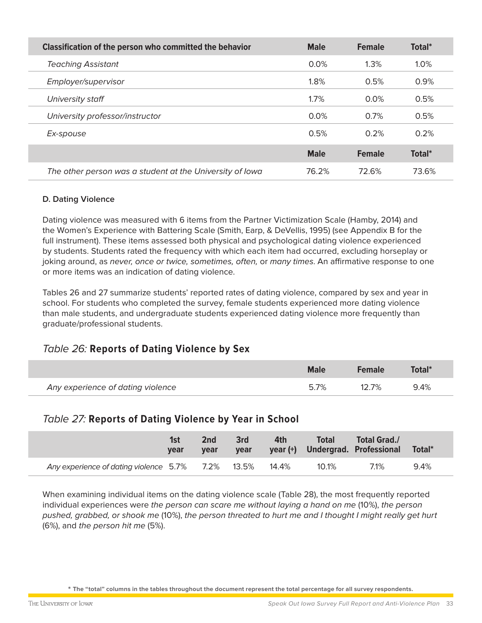| <b>Classification of the person who committed the behavior</b> | <b>Male</b> | <b>Female</b> | Total* |
|----------------------------------------------------------------|-------------|---------------|--------|
| <b>Teaching Assistant</b>                                      | 0.0%        | 1.3%          | 1.0%   |
| Employer/supervisor                                            | 1.8%        | 0.5%          | 0.9%   |
| University staff                                               | 1.7%        | $0.0\%$       | 0.5%   |
| University professor/instructor                                | 0.0%        | 0.7%          | 0.5%   |
| Ex-spouse                                                      | 0.5%        | 0.2%          | 0.2%   |
|                                                                | <b>Male</b> | <b>Female</b> | Total* |
| The other person was a student at the University of lowa       | 76.2%       | 72.6%         | 73.6%  |

#### **D. Dating Violence**

Dating violence was measured with 6 items from the Partner Victimization Scale (Hamby, 2014) and the Women's Experience with Battering Scale (Smith, Earp, & DeVellis, 1995) (see Appendix B for the full instrument). These items assessed both physical and psychological dating violence experienced by students. Students rated the frequency with which each item had occurred, excluding horseplay or joking around, as never, once or twice, sometimes, often, or many times. An affirmative response to one or more items was an indication of dating violence.

Tables 26 and 27 summarize students' reported rates of dating violence, compared by sex and year in school. For students who completed the survey, female students experienced more dating violence than male students, and undergraduate students experienced dating violence more frequently than graduate/professional students.

## Table 26: **Reports of Dating Violence by Sex**

|                                   | <b>Male</b> | <b>Female</b> | Total* |
|-----------------------------------|-------------|---------------|--------|
| Any experience of dating violence | 5.7%        | $127\%$       | 9.4%   |

#### Table 27: **Reports of Dating Violence by Year in School**

|                                                   | 1st<br>vear | 2 <sub>nd</sub><br><b>vear</b> | 3rd<br><b>vear</b> | 4th   | <b>Total</b> | Total Grad./<br>year (+) Undergrad. Professional Total* |      |
|---------------------------------------------------|-------------|--------------------------------|--------------------|-------|--------------|---------------------------------------------------------|------|
| Any experience of dating violence 5.7% 7.2% 13.5% |             |                                |                    | 14.4% | 10.1%        | 7.1%                                                    | 9.4% |

When examining individual items on the dating violence scale (Table 28), the most frequently reported individual experiences were the person can scare me without laying a hand on me (10%), the person pushed, grabbed, or shook me (10%), the person threated to hurt me and I thought I might really get hurt (6%), and the person hit me (5%).

**<sup>\*</sup> The "total" columns in the tables throughout the document represent the total percentage for all survey respondents.**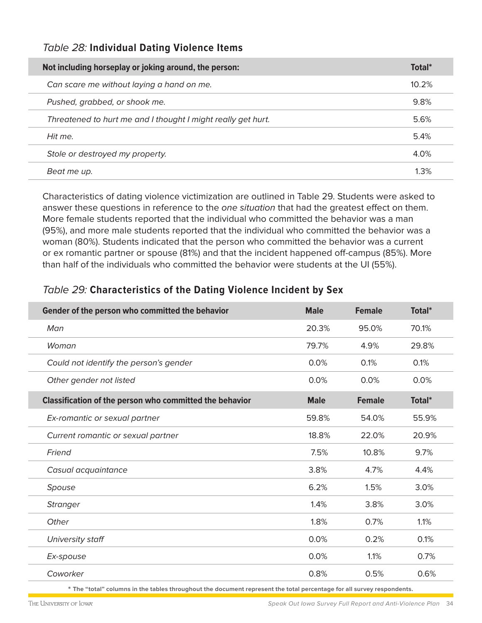#### Table 28: **Individual Dating Violence Items**

| Not including horseplay or joking around, the person:        | Total <sup>*</sup> |
|--------------------------------------------------------------|--------------------|
| Can scare me without laying a hand on me.                    | 10.2%              |
| Pushed, grabbed, or shook me.                                | 9.8%               |
| Threatened to hurt me and I thought I might really get hurt. | 5.6%               |
| Hit me.                                                      | 5.4%               |
| Stole or destroyed my property.                              | 4.0%               |
| Beat me up.                                                  | 1.3%               |

Characteristics of dating violence victimization are outlined in Table 29. Students were asked to answer these questions in reference to the one situation that had the greatest effect on them. More female students reported that the individual who committed the behavior was a man (95%), and more male students reported that the individual who committed the behavior was a woman (80%). Students indicated that the person who committed the behavior was a current or ex romantic partner or spouse (81%) and that the incident happened off-campus (85%). More than half of the individuals who committed the behavior were students at the UI (55%).

| Gender of the person who committed the behavior                | <b>Male</b> | <b>Female</b> | Total* |
|----------------------------------------------------------------|-------------|---------------|--------|
| Man                                                            | 20.3%       | 95.0%         | 70.1%  |
| Woman                                                          | 79.7%       | 4.9%          | 29.8%  |
| Could not identify the person's gender                         | 0.0%        | 0.1%          | 0.1%   |
| Other gender not listed                                        | 0.0%        | 0.0%          | 0.0%   |
| <b>Classification of the person who committed the behavior</b> | <b>Male</b> | <b>Female</b> | Total* |
| Ex-romantic or sexual partner                                  | 59.8%       | 54.0%         | 55.9%  |
| Current romantic or sexual partner                             | 18.8%       | 22.0%         | 20.9%  |
| Friend                                                         | 7.5%        | 10.8%         | 9.7%   |
| Casual acquaintance                                            | 3.8%        | 4.7%          | 4.4%   |
| Spouse                                                         | 6.2%        | 1.5%          | 3.0%   |
| <b>Stranger</b>                                                | 1.4%        | 3.8%          | 3.0%   |
| Other                                                          | 1.8%        | 0.7%          | 1.1%   |
| University staff                                               | 0.0%        | 0.2%          | 0.1%   |
| Ex-spouse                                                      | 0.0%        | 1.1%          | 0.7%   |
| Coworker                                                       | 0.8%        | 0.5%          | 0.6%   |

Table 29: **Characteristics of the Dating Violence Incident by Sex**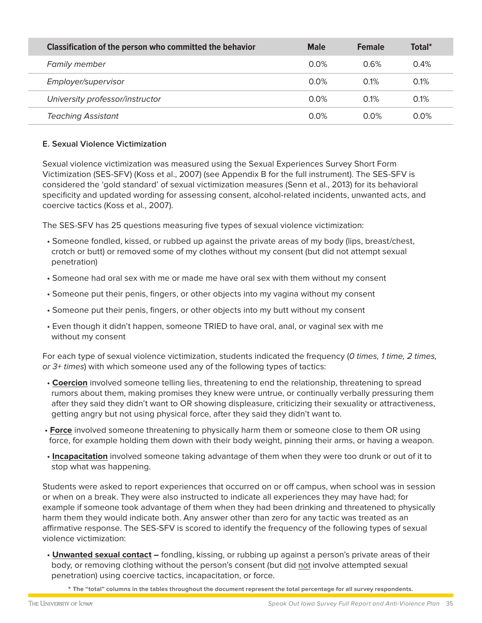| <b>Classification of the person who committed the behavior</b> | <b>Male</b> | <b>Female</b> | Total*  |
|----------------------------------------------------------------|-------------|---------------|---------|
| Family member                                                  | $0.0\%$     | 0.6%          | 0.4%    |
| Employer/supervisor                                            | $0.0\%$     | 0.1%          | 0.1%    |
| University professor/instructor                                | $0.0\%$     | $0.1\%$       | 0.1%    |
| <b>Teaching Assistant</b>                                      | $0.0\%$     | $0.0\%$       | $0.0\%$ |

#### **E. Sexual Violence Victimization**

Sexual violence victimization was measured using the Sexual Experiences Survey Short Form Victimization (SES-SFV) (Koss et al., 2007) (see Appendix B for the full instrument). The SES-SFV is considered the 'gold standard' of sexual victimization measures (Senn et al., 2013) for its behavioral specificity and updated wording for assessing consent, alcohol-related incidents, unwanted acts, and coercive tactics (Koss et al., 2007).

The SES-SFV has 25 questions measuring five types of sexual violence victimization:

- Someone fondled, kissed, or rubbed up against the private areas of my body (lips, breast/chest, crotch or butt) or removed some of my clothes without my consent (but did not attempt sexual penetration)
- Someone had oral sex with me or made me have oral sex with them without my consent
- Someone put their penis, fingers, or other objects into my vagina without my consent
- Someone put their penis, fingers, or other objects into my butt without my consent
- Even though it didn't happen, someone TRIED to have oral, anal, or vaginal sex with me without my consent

For each type of sexual violence victimization, students indicated the frequency (0 times, 1 time, 2 times, or 3+ times) with which someone used any of the following types of tactics:

- **Coercion** involved someone telling lies, threatening to end the relationship, threatening to spread rumors about them, making promises they knew were untrue, or continually verbally pressuring them after they said they didn't want to OR showing displeasure, criticizing their sexuality or attractiveness, getting angry but not using physical force, after they said they didn't want to.
- **Force** involved someone threatening to physically harm them or someone close to them OR using force, for example holding them down with their body weight, pinning their arms, or having a weapon.
- **Incapacitation** involved someone taking advantage of them when they were too drunk or out of it to stop what was happening.

Students were asked to report experiences that occurred on or off campus, when school was in session or when on a break. They were also instructed to indicate all experiences they may have had; for example if someone took advantage of them when they had been drinking and threatened to physically harm them they would indicate both. Any answer other than zero for any tactic was treated as an affirmative response. The SES-SFV is scored to identify the frequency of the following types of sexual violence victimization:

 • **Unwanted sexual contact –** fondling, kissing, or rubbing up against a person's private areas of their body, or removing clothing without the person's consent (but did not involve attempted sexual penetration) using coercive tactics, incapacitation, or force.

**<sup>\*</sup> The "total" columns in the tables throughout the document represent the total percentage for all survey respondents.**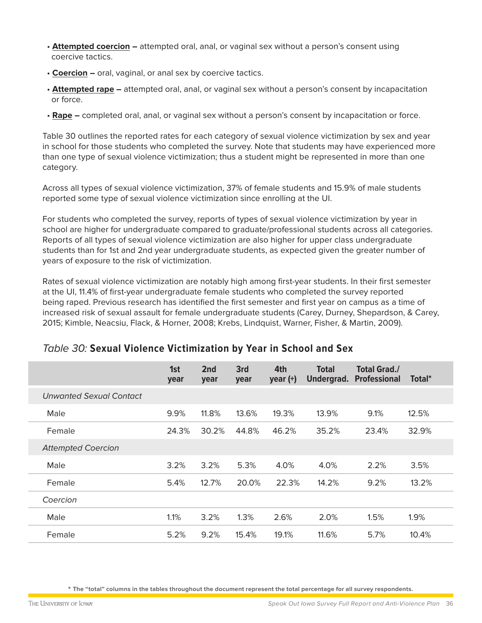- **Attempted coercion –** attempted oral, anal, or vaginal sex without a person's consent using coercive tactics.
- **Coercion –** oral, vaginal, or anal sex by coercive tactics.
- **Attempted rape –** attempted oral, anal, or vaginal sex without a person's consent by incapacitation or force.
- **Rape –** completed oral, anal, or vaginal sex without a person's consent by incapacitation or force.

Table 30 outlines the reported rates for each category of sexual violence victimization by sex and year in school for those students who completed the survey. Note that students may have experienced more than one type of sexual violence victimization; thus a student might be represented in more than one category.

Across all types of sexual violence victimization, 37% of female students and 15.9% of male students reported some type of sexual violence victimization since enrolling at the UI.

For students who completed the survey, reports of types of sexual violence victimization by year in school are higher for undergraduate compared to graduate/professional students across all categories. Reports of all types of sexual violence victimization are also higher for upper class undergraduate students than for 1st and 2nd year undergraduate students, as expected given the greater number of years of exposure to the risk of victimization.

Rates of sexual violence victimization are notably high among first-year students. In their first semester at the UI, 11.4% of first-year undergraduate female students who completed the survey reported being raped. Previous research has identified the first semester and first year on campus as a time of increased risk of sexual assault for female undergraduate students (Carey, Durney, Shepardson, & Carey, 2015; Kimble, Neacsiu, Flack, & Horner, 2008; Krebs, Lindquist, Warner, Fisher, & Martin, 2009).

|                           | 1st<br>year | 2 <sub>nd</sub><br>year | 3rd<br>year | 4th<br>year $(+)$ | <b>Total</b><br>Undergrad. | Total Grad./<br><b>Professional</b> | Total* |
|---------------------------|-------------|-------------------------|-------------|-------------------|----------------------------|-------------------------------------|--------|
| Unwanted Sexual Contact   |             |                         |             |                   |                            |                                     |        |
| Male                      | 9.9%        | 11.8%                   | 13.6%       | 19.3%             | 13.9%                      | 9.1%                                | 12.5%  |
| Female                    | 24.3%       | 30.2%                   | 44.8%       | 46.2%             | 35.2%                      | 23.4%                               | 32.9%  |
| <b>Attempted Coercion</b> |             |                         |             |                   |                            |                                     |        |
| Male                      | 3.2%        | 3.2%                    | 5.3%        | 4.0%              | 4.0%                       | 2.2%                                | 3.5%   |
| Female                    | 5.4%        | 12.7%                   | 20.0%       | 22.3%             | 14.2%                      | 9.2%                                | 13.2%  |
| Coercion                  |             |                         |             |                   |                            |                                     |        |
| Male                      | 1.1%        | 3.2%                    | 1.3%        | 2.6%              | 2.0%                       | 1.5%                                | 1.9%   |
| Female                    | 5.2%        | 9.2%                    | 15.4%       | 19.1%             | 11.6%                      | 5.7%                                | 10.4%  |

#### Table 30: **Sexual Violence Victimization by Year in School and Sex**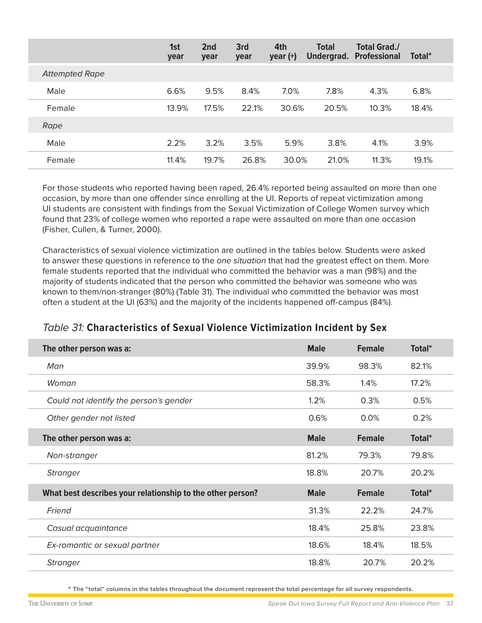|                       | 1st<br>year | 2 <sub>nd</sub><br>year | 3rd<br>year | 4th<br>year $(+)$ | <b>Total</b> | Total Grad./<br><b>Undergrad. Professional</b> | Total* |
|-----------------------|-------------|-------------------------|-------------|-------------------|--------------|------------------------------------------------|--------|
| <b>Attempted Rape</b> |             |                         |             |                   |              |                                                |        |
| Male                  | 6.6%        | 9.5%                    | 8.4%        | 7.0%              | 7.8%         | 4.3%                                           | 6.8%   |
| Female                | 13.9%       | 17.5%                   | 22.1%       | 30.6%             | 20.5%        | 10.3%                                          | 18.4%  |
| Rape                  |             |                         |             |                   |              |                                                |        |
| Male                  | 2.2%        | 3.2%                    | 3.5%        | 5.9%              | 3.8%         | 4.1%                                           | 3.9%   |
| Female                | 11.4%       | 19.7%                   | 26.8%       | 30.0%             | 21.0%        | 11.3%                                          | 19.1%  |

For those students who reported having been raped, 26.4% reported being assaulted on more than one occasion, by more than one offender since enrolling at the UI. Reports of repeat victimization among UI students are consistent with findings from the Sexual Victimization of College Women survey which found that 23% of college women who reported a rape were assaulted on more than one occasion (Fisher, Cullen, & Turner, 2000).

Characteristics of sexual violence victimization are outlined in the tables below. Students were asked to answer these questions in reference to the *one situation* that had the greatest effect on them. More female students reported that the individual who committed the behavior was a man (98%) and the majority of students indicated that the person who committed the behavior was someone who was known to them/non-stranger (80%) (Table 31). The individual who committed the behavior was most often a student at the UI (63%) and the majority of the incidents happened off-campus (84%).

## Table 31: **Characteristics of Sexual Violence Victimization Incident by Sex**

| The other person was a:                                    | <b>Male</b> | <b>Female</b> | Total* |
|------------------------------------------------------------|-------------|---------------|--------|
| Man                                                        | 39.9%       | 98.3%         | 82.1%  |
| Woman                                                      | 58.3%       | 1.4%          | 17.2%  |
| Could not identify the person's gender                     | 1.2%        | 0.3%          | 0.5%   |
| Other gender not listed                                    | 0.6%        | 0.0%          | 0.2%   |
| The other person was a:                                    | <b>Male</b> | <b>Female</b> | Total* |
| Non-stranger                                               | 81.2%       | 79.3%         | 79.8%  |
| <b>Stranger</b>                                            | 18.8%       | 20.7%         | 20.2%  |
| What best describes your relationship to the other person? | <b>Male</b> | <b>Female</b> | Total* |
| Friend                                                     | 31.3%       | 22.2%         | 24.7%  |
| Casual acquaintance                                        | 18.4%       | 25.8%         | 23.8%  |
| Ex-romantic or sexual partner                              | 18.6%       | 18.4%         | 18.5%  |
| <b>Stranger</b>                                            | 18.8%       | 20.7%         | 20.2%  |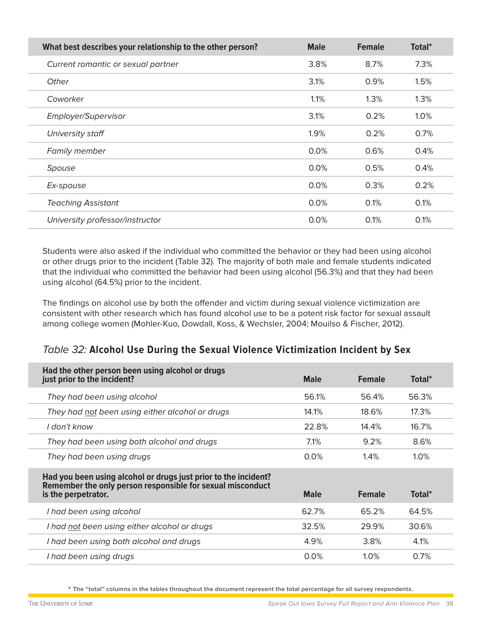| What best describes your relationship to the other person? | <b>Male</b> | <b>Female</b> | Total* |
|------------------------------------------------------------|-------------|---------------|--------|
| Current romantic or sexual partner                         | 3.8%        | 8.7%          | 7.3%   |
| Other                                                      | 3.1%        | 0.9%          | 1.5%   |
| Coworker                                                   | 1.1%        | 1.3%          | 1.3%   |
| Employer/Supervisor                                        | 3.1%        | 0.2%          | 1.0%   |
| University staff                                           | 1.9%        | 0.2%          | 0.7%   |
| Family member                                              | $0.0\%$     | 0.6%          | 0.4%   |
| Spouse                                                     | 0.0%        | 0.5%          | 0.4%   |
| Ex-spouse                                                  | 0.0%        | 0.3%          | 0.2%   |
| <b>Teaching Assistant</b>                                  | 0.0%        | 0.1%          | 0.1%   |
| University professor/instructor                            | 0.0%        | 0.1%          | 0.1%   |

Students were also asked if the individual who committed the behavior or they had been using alcohol or other drugs prior to the incident (Table 32). The majority of both male and female students indicated that the individual who committed the behavior had been using alcohol (56.3%) and that they had been using alcohol (64.5%) prior to the incident.

The findings on alcohol use by both the offender and victim during sexual violence victimization are consistent with other research which has found alcohol use to be a potent risk factor for sexual assault among college women (Mohler-Kuo, Dowdall, Koss, & Wechsler, 2004; Mouilso & Fischer, 2012).

## Table 32: **Alcohol Use During the Sexual Violence Victimization Incident by Sex**

| Had the other person been using alcohol or drugs<br>just prior to the incident?                                               | <b>Male</b> | <b>Female</b> | Total <sup>*</sup> |
|-------------------------------------------------------------------------------------------------------------------------------|-------------|---------------|--------------------|
| They had been using alcohol                                                                                                   | 56.1%       | 56.4%         | 56.3%              |
| They had not been using either alcohol or drugs                                                                               | 14.1%       | 18.6%         | 17.3%              |
| I don't know                                                                                                                  | 22.8%       | 14.4%         | 16.7%              |
| They had been using both alcohol and drugs                                                                                    | 7.1%        | 9.2%          | 8.6%               |
| They had been using drugs                                                                                                     | $0.0\%$     | 1.4%          | $1.0\%$            |
| Had you been using alcohol or drugs just prior to the incident?<br>Remember the only person responsible for sexual misconduct |             |               |                    |
| is the perpetrator.                                                                                                           | <b>Male</b> | <b>Female</b> | Total*             |
| I had been using alcohol                                                                                                      | 62.7%       | 65.2%         | 64.5%              |
| I had not been using either alcohol or drugs                                                                                  | 32.5%       | 29.9%         | 30.6%              |
|                                                                                                                               |             |               |                    |
| I had been using both alcohol and drugs                                                                                       | 4.9%        | 3.8%          | 4.1%               |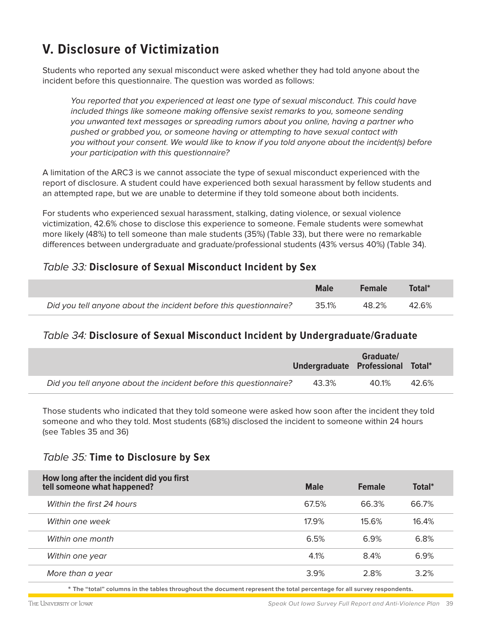# **V. Disclosure of Victimization**

Students who reported any sexual misconduct were asked whether they had told anyone about the incident before this questionnaire. The question was worded as follows:

You reported that you experienced at least one type of sexual misconduct. This could have included things like someone making offensive sexist remarks to you, someone sending you unwanted text messages or spreading rumors about you online, having a partner who pushed or grabbed you, or someone having or attempting to have sexual contact with you without your consent. We would like to know if you told anyone about the incident(s) before your participation with this questionnaire?

A limitation of the ARC3 is we cannot associate the type of sexual misconduct experienced with the report of disclosure. A student could have experienced both sexual harassment by fellow students and an attempted rape, but we are unable to determine if they told someone about both incidents.

For students who experienced sexual harassment, stalking, dating violence, or sexual violence victimization, 42.6% chose to disclose this experience to someone. Female students were somewhat more likely (48%) to tell someone than male students (35%) (Table 33), but there were no remarkable differences between undergraduate and graduate/professional students (43% versus 40%) (Table 34).

#### Table 33: **Disclosure of Sexual Misconduct Incident by Sex**

|                                                                   | <b>Male</b> | <b>Female</b> | Total* |
|-------------------------------------------------------------------|-------------|---------------|--------|
| Did you tell anyone about the incident before this questionnaire? | 35.1%       | 48.2%         | 42.6%  |

## Table 34: **Disclosure of Sexual Misconduct Incident by Undergraduate/Graduate**

|                                                                   | Undergraduate Professional Total* | Graduate/ |       |  |
|-------------------------------------------------------------------|-----------------------------------|-----------|-------|--|
| Did you tell anyone about the incident before this questionnaire? | 43.3%                             | 40.1%     | 42.6% |  |

Those students who indicated that they told someone were asked how soon after the incident they told someone and who they told. Most students (68%) disclosed the incident to someone within 24 hours (see Tables 35 and 36)

## Table 35: **Time to Disclosure by Sex**

| How long after the incident did you first<br>tell someone what happened? | <b>Male</b> | <b>Female</b> | Total <sup>*</sup> |
|--------------------------------------------------------------------------|-------------|---------------|--------------------|
| Within the first 24 hours                                                | 67.5%       | 66.3%         | 66.7%              |
| Within one week                                                          | 17.9%       | 15.6%         | 16.4%              |
| Within one month                                                         | 6.5%        | 6.9%          | 6.8%               |
| Within one year                                                          | 4.1%        | 8.4%          | 6.9%               |
| More than a year                                                         | 3.9%        | 2.8%          | 3.2%               |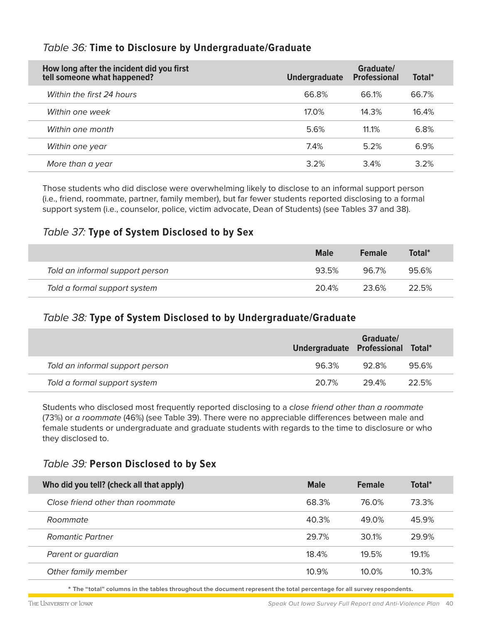## Table 36: **Time to Disclosure by Undergraduate/Graduate**

| How long after the incident did you first<br>tell someone what happened? | <b>Undergraduate</b> | Graduate/<br><b>Professional</b> | Total <sup>*</sup> |
|--------------------------------------------------------------------------|----------------------|----------------------------------|--------------------|
| Within the first 24 hours                                                | 66.8%                | 66.1%                            | 66.7%              |
| Within one week                                                          | 17.0%                | 14.3%                            | 16.4%              |
| Within one month                                                         | 5.6%                 | 11.1%                            | 6.8%               |
| Within one year                                                          | 7.4%                 | 5.2%                             | 6.9%               |
| More than a year                                                         | 3.2%                 | 3.4%                             | 3.2%               |

Those students who did disclose were overwhelming likely to disclose to an informal support person (i.e., friend, roommate, partner, family member), but far fewer students reported disclosing to a formal support system (i.e., counselor, police, victim advocate, Dean of Students) (see Tables 37 and 38).

## Table 37: **Type of System Disclosed to by Sex**

|                                 | <b>Male</b> | <b>Female</b> | Total <sup>*</sup> |
|---------------------------------|-------------|---------------|--------------------|
| Told an informal support person | 93.5%       | 96.7%         | 95.6%              |
| Told a formal support system    | 20.4%       | 23.6%         | 22.5%              |

## Table 38: **Type of System Disclosed to by Undergraduate/Graduate**

|                                 | Undergraduate Professional Total* | Graduate/ |       |
|---------------------------------|-----------------------------------|-----------|-------|
| Told an informal support person | 96.3%                             | 92.8%     | 95.6% |
| Told a formal support system    | 20.7%                             | - 29.4%   | 22.5% |

Students who disclosed most frequently reported disclosing to a close friend other than a roommate (73%) or a roommate (46%) (see Table 39). There were no appreciable differences between male and female students or undergraduate and graduate students with regards to the time to disclosure or who they disclosed to.

## Table 39: **Person Disclosed to by Sex**

| Who did you tell? (check all that apply) | <b>Male</b> | <b>Female</b> | Total* |
|------------------------------------------|-------------|---------------|--------|
| Close friend other than roommate         | 68.3%       | 76.0%         | 73.3%  |
| Roommate                                 | 40.3%       | 49.0%         | 45.9%  |
| <b>Romantic Partner</b>                  | 29.7%       | 30.1%         | 29.9%  |
| Parent or guardian                       | 18.4%       | 19.5%         | 19.1%  |
| Other family member                      | 10.9%       | $10.0\%$      | 10.3%  |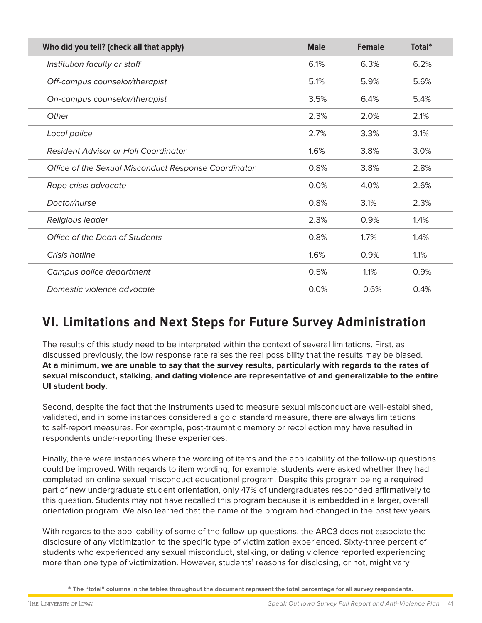| Who did you tell? (check all that apply)             | <b>Male</b> | <b>Female</b> | Total* |
|------------------------------------------------------|-------------|---------------|--------|
| Institution faculty or staff                         | 6.1%        | 6.3%          | 6.2%   |
| Off-campus counselor/therapist                       | 5.1%        | 5.9%          | 5.6%   |
| On-campus counselor/therapist                        | 3.5%        | 6.4%          | 5.4%   |
| Other                                                | 2.3%        | 2.0%          | 2.1%   |
| Local police                                         | 2.7%        | 3.3%          | 3.1%   |
| Resident Advisor or Hall Coordinator                 | 1.6%        | 3.8%          | 3.0%   |
| Office of the Sexual Misconduct Response Coordinator | 0.8%        | 3.8%          | 2.8%   |
| Rape crisis advocate                                 | 0.0%        | 4.0%          | 2.6%   |
| Doctor/nurse                                         | 0.8%        | 3.1%          | 2.3%   |
| Religious leader                                     | 2.3%        | 0.9%          | 1.4%   |
| Office of the Dean of Students                       | 0.8%        | 1.7%          | 1.4%   |
| Crisis hotline                                       | 1.6%        | 0.9%          | 1.1%   |
| Campus police department                             | 0.5%        | 1.1%          | 0.9%   |
| Domestic violence advocate                           | 0.0%        | 0.6%          | 0.4%   |

# **VI. Limitations and Next Steps for Future Survey Administration**

The results of this study need to be interpreted within the context of several limitations. First, as discussed previously, the low response rate raises the real possibility that the results may be biased. **At a minimum, we are unable to say that the survey results, particularly with regards to the rates of sexual misconduct, stalking, and dating violence are representative of and generalizable to the entire UI student body.**

Second, despite the fact that the instruments used to measure sexual misconduct are well-established, validated, and in some instances considered a gold standard measure, there are always limitations to self-report measures. For example, post-traumatic memory or recollection may have resulted in respondents under-reporting these experiences.

Finally, there were instances where the wording of items and the applicability of the follow-up questions could be improved. With regards to item wording, for example, students were asked whether they had completed an online sexual misconduct educational program. Despite this program being a required part of new undergraduate student orientation, only 47% of undergraduates responded affirmatively to this question. Students may not have recalled this program because it is embedded in a larger, overall orientation program. We also learned that the name of the program had changed in the past few years.

With regards to the applicability of some of the follow-up questions, the ARC3 does not associate the disclosure of any victimization to the specific type of victimization experienced. Sixty-three percent of students who experienced any sexual misconduct, stalking, or dating violence reported experiencing more than one type of victimization. However, students' reasons for disclosing, or not, might vary

**<sup>\*</sup> The "total" columns in the tables throughout the document represent the total percentage for all survey respondents.**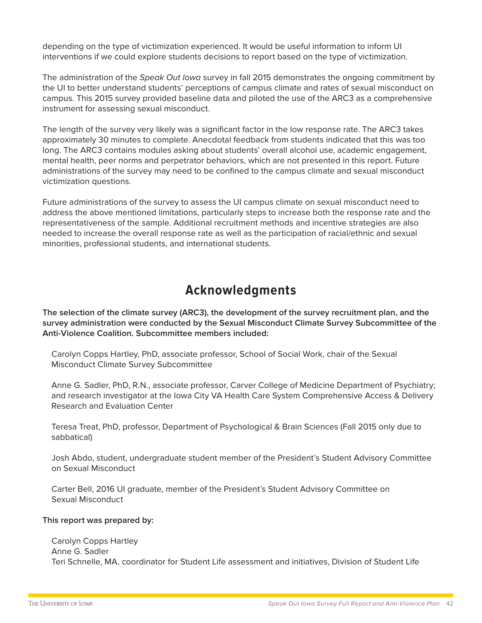depending on the type of victimization experienced. It would be useful information to inform UI interventions if we could explore students decisions to report based on the type of victimization.

The administration of the Speak Out lowa survey in fall 2015 demonstrates the ongoing commitment by the UI to better understand students' perceptions of campus climate and rates of sexual misconduct on campus. This 2015 survey provided baseline data and piloted the use of the ARC3 as a comprehensive instrument for assessing sexual misconduct.

The length of the survey very likely was a significant factor in the low response rate. The ARC3 takes approximately 30 minutes to complete. Anecdotal feedback from students indicated that this was too long. The ARC3 contains modules asking about students' overall alcohol use, academic engagement, mental health, peer norms and perpetrator behaviors, which are not presented in this report. Future administrations of the survey may need to be confined to the campus climate and sexual misconduct victimization questions.

Future administrations of the survey to assess the UI campus climate on sexual misconduct need to address the above mentioned limitations, particularly steps to increase both the response rate and the representativeness of the sample. Additional recruitment methods and incentive strategies are also needed to increase the overall response rate as well as the participation of racial/ethnic and sexual minorities, professional students, and international students.

## **Acknowledgments**

**The selection of the climate survey (ARC3), the development of the survey recruitment plan, and the survey administration were conducted by the Sexual Misconduct Climate Survey Subcommittee of the Anti-Violence Coalition. Subcommittee members included:**

 Carolyn Copps Hartley, PhD, associate professor, School of Social Work, chair of the Sexual Misconduct Climate Survey Subcommittee

 Anne G. Sadler, PhD, R.N., associate professor, Carver College of Medicine Department of Psychiatry; and research investigator at the Iowa City VA Health Care System Comprehensive Access & Delivery Research and Evaluation Center

 Teresa Treat, PhD, professor, Department of Psychological & Brain Sciences (Fall 2015 only due to sabbatical)

 Josh Abdo, student, undergraduate student member of the President's Student Advisory Committee on Sexual Misconduct

 Carter Bell, 2016 UI graduate, member of the President's Student Advisory Committee on Sexual Misconduct

#### **This report was prepared by:**

 Carolyn Copps Hartley Anne G. Sadler Teri Schnelle, MA, coordinator for Student Life assessment and initiatives, Division of Student Life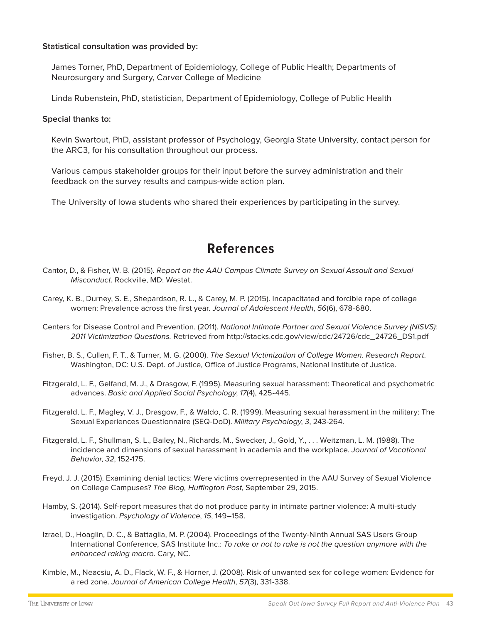#### **Statistical consultation was provided by:**

 James Torner, PhD, Department of Epidemiology, College of Public Health; Departments of Neurosurgery and Surgery, Carver College of Medicine

Linda Rubenstein, PhD, statistician, Department of Epidemiology, College of Public Health

#### **Special thanks to:**

 Kevin Swartout, PhD, assistant professor of Psychology, Georgia State University, contact person for the ARC3, for his consultation throughout our process.

 Various campus stakeholder groups for their input before the survey administration and their feedback on the survey results and campus-wide action plan.

The University of Iowa students who shared their experiences by participating in the survey.

## **References**

- Cantor, D., & Fisher, W. B. (2015). Report on the AAU Campus Climate Survey on Sexual Assault and Sexual Misconduct. Rockville, MD: Westat.
- Carey, K. B., Durney, S. E., Shepardson, R. L., & Carey, M. P. (2015). Incapacitated and forcible rape of college women: Prevalence across the first year. Journal of Adolescent Health, 56(6), 678-680.
- Centers for Disease Control and Prevention. (2011). National Intimate Partner and Sexual Violence Survey (NISVS): 2011 Victimization Questions. Retrieved from http://stacks.cdc.gov/view/cdc/24726/cdc\_24726\_DS1.pdf
- Fisher, B. S., Cullen, F. T., & Turner, M. G. (2000). The Sexual Victimization of College Women. Research Report. Washington, DC: U.S. Dept. of Justice, Office of Justice Programs, National Institute of Justice.
- Fitzgerald, L. F., Gelfand, M. J., & Drasgow, F. (1995). Measuring sexual harassment: Theoretical and psychometric advances. Basic and Applied Social Psychology, 17(4), 425-445.
- Fitzgerald, L. F., Magley, V. J., Drasgow, F., & Waldo, C. R. (1999). Measuring sexual harassment in the military: The Sexual Experiences Questionnaire (SEQ-DoD). Military Psychology, 3, 243-264.
- Fitzgerald, L. F., Shullman, S. L., Bailey, N., Richards, M., Swecker, J., Gold, Y., . . . Weitzman, L. M. (1988). The incidence and dimensions of sexual harassment in academia and the workplace. Journal of Vocational Behavior, 32, 152-175.
- Freyd, J. J. (2015). Examining denial tactics: Were victims overrepresented in the AAU Survey of Sexual Violence on College Campuses? The Blog, Huffington Post, September 29, 2015.
- Hamby, S. (2014). Self-report measures that do not produce parity in intimate partner violence: A multi-study investigation. Psychology of Violence, 15, 149–158.
- Izrael, D., Hoaglin, D. C., & Battaglia, M. P. (2004). Proceedings of the Twenty-Ninth Annual SAS Users Group International Conference, SAS Institute Inc.: To rake or not to rake is not the question anymore with the enhanced raking macro. Cary, NC.
- Kimble, M., Neacsiu, A. D., Flack, W. F., & Horner, J. (2008). Risk of unwanted sex for college women: Evidence for a red zone. Journal of American College Health, 57(3), 331-338.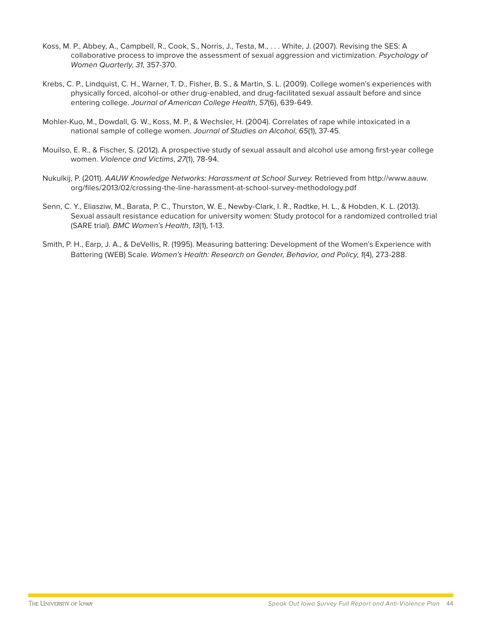- Koss, M. P., Abbey, A., Campbell, R., Cook, S., Norris, J., Testa, M., . . . White, J. (2007). Revising the SES: A collaborative process to improve the assessment of sexual aggression and victimization. Psychology of Women Quarterly, 31, 357-370.
- Krebs, C. P., Lindquist, C. H., Warner, T. D., Fisher, B. S., & Martin, S. L. (2009). College women's experiences with physically forced, alcohol-or other drug-enabled, and drug-facilitated sexual assault before and since entering college. Journal of American College Health, 57(6), 639-649.
- Mohler-Kuo, M., Dowdall, G. W., Koss, M. P., & Wechsler, H. (2004). Correlates of rape while intoxicated in a national sample of college women. Journal of Studies on Alcohol, 65(1), 37-45.
- Mouilso, E. R., & Fischer, S. (2012). A prospective study of sexual assault and alcohol use among first-year college women. Violence and Victims, 27(1), 78-94.
- Nukulkij, P. (2011). AAUW Knowledge Networks: Harassment at School Survey. Retrieved from http://www.aauw. org/files/2013/02/crossing-the-line-harassment-at-school-survey-methodology.pdf
- Senn, C. Y., Eliasziw, M., Barata, P. C., Thurston, W. E., Newby-Clark, I. R., Radtke, H. L., & Hobden, K. L. (2013). Sexual assault resistance education for university women: Study protocol for a randomized controlled trial (SARE trial). BMC Women's Health, 13(1), 1-13.
- Smith, P. H., Earp, J. A., & DeVellis, R. (1995). Measuring battering: Development of the Women's Experience with Battering (WEB) Scale. Women's Health: Research on Gender, Behavior, and Policy, 1(4), 273-288.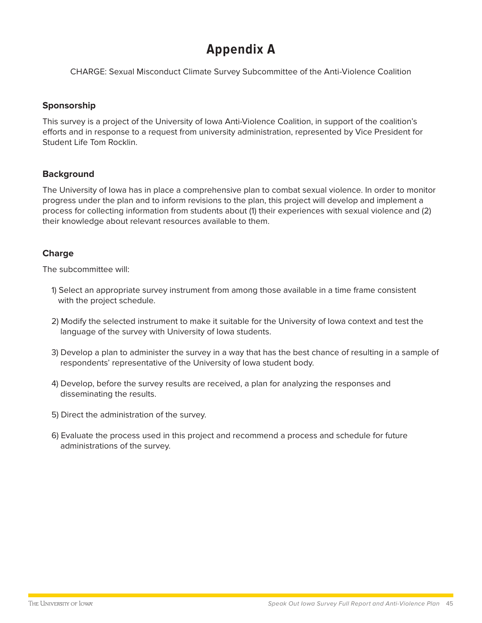# **Appendix A**

CHARGE: Sexual Misconduct Climate Survey Subcommittee of the Anti-Violence Coalition

#### **Sponsorship**

This survey is a project of the University of Iowa Anti-Violence Coalition, in support of the coalition's efforts and in response to a request from university administration, represented by Vice President for Student Life Tom Rocklin.

#### **Background**

The University of Iowa has in place a comprehensive plan to combat sexual violence. In order to monitor progress under the plan and to inform revisions to the plan, this project will develop and implement a process for collecting information from students about (1) their experiences with sexual violence and (2) their knowledge about relevant resources available to them.

#### **Charge**

The subcommittee will:

- 1) Select an appropriate survey instrument from among those available in a time frame consistent with the project schedule.
- 2) Modify the selected instrument to make it suitable for the University of Iowa context and test the language of the survey with University of Iowa students.
- 3) Develop a plan to administer the survey in a way that has the best chance of resulting in a sample of respondents' representative of the University of Iowa student body.
- 4) Develop, before the survey results are received, a plan for analyzing the responses and disseminating the results.
- 5) Direct the administration of the survey.
- 6) Evaluate the process used in this project and recommend a process and schedule for future administrations of the survey.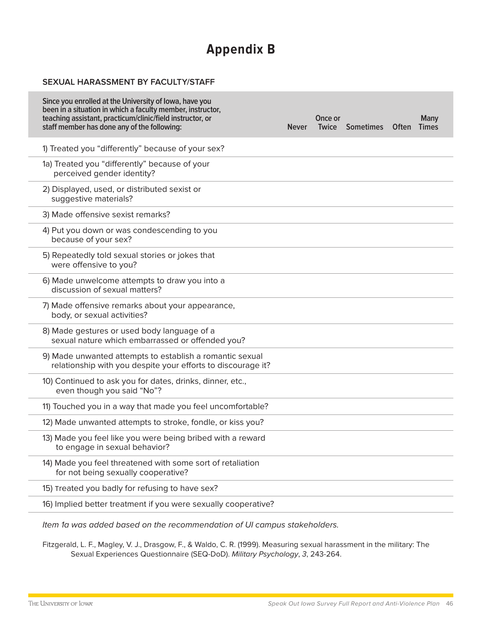# **Appendix B**

#### **SEXUAL HARASSMENT BY FACULTY/STAFF**

| Since you enrolled at the University of Iowa, have you<br>been in a situation in which a faculty member, instructor,<br>teaching assistant, practicum/clinic/field instructor, or<br>staff member has done any of the following: | <b>Never</b> | Once or<br><b>Twice</b> | <b>Sometimes</b> | <b>Often</b> | <b>Many</b><br><b>Times</b> |
|----------------------------------------------------------------------------------------------------------------------------------------------------------------------------------------------------------------------------------|--------------|-------------------------|------------------|--------------|-----------------------------|
| 1) Treated you "differently" because of your sex?                                                                                                                                                                                |              |                         |                  |              |                             |
| 1a) Treated you "differently" because of your<br>perceived gender identity?                                                                                                                                                      |              |                         |                  |              |                             |
| 2) Displayed, used, or distributed sexist or<br>suggestive materials?                                                                                                                                                            |              |                         |                  |              |                             |
| 3) Made offensive sexist remarks?                                                                                                                                                                                                |              |                         |                  |              |                             |
| 4) Put you down or was condescending to you<br>because of your sex?                                                                                                                                                              |              |                         |                  |              |                             |
| 5) Repeatedly told sexual stories or jokes that<br>were offensive to you?                                                                                                                                                        |              |                         |                  |              |                             |
| 6) Made unwelcome attempts to draw you into a<br>discussion of sexual matters?                                                                                                                                                   |              |                         |                  |              |                             |
| 7) Made offensive remarks about your appearance,<br>body, or sexual activities?                                                                                                                                                  |              |                         |                  |              |                             |
| 8) Made gestures or used body language of a<br>sexual nature which embarrassed or offended you?                                                                                                                                  |              |                         |                  |              |                             |
| 9) Made unwanted attempts to establish a romantic sexual<br>relationship with you despite your efforts to discourage it?                                                                                                         |              |                         |                  |              |                             |
| 10) Continued to ask you for dates, drinks, dinner, etc.,<br>even though you said "No"?                                                                                                                                          |              |                         |                  |              |                             |
| 11) Touched you in a way that made you feel uncomfortable?                                                                                                                                                                       |              |                         |                  |              |                             |
| 12) Made unwanted attempts to stroke, fondle, or kiss you?                                                                                                                                                                       |              |                         |                  |              |                             |
| 13) Made you feel like you were being bribed with a reward<br>to engage in sexual behavior?                                                                                                                                      |              |                         |                  |              |                             |
| 14) Made you feel threatened with some sort of retaliation<br>for not being sexually cooperative?                                                                                                                                |              |                         |                  |              |                             |
| 15) Treated you badly for refusing to have sex?                                                                                                                                                                                  |              |                         |                  |              |                             |
| 16) Implied better treatment if you were sexually cooperative?                                                                                                                                                                   |              |                         |                  |              |                             |
|                                                                                                                                                                                                                                  |              |                         |                  |              |                             |

Item 1a was added based on the recommendation of UI campus stakeholders.

Fitzgerald, L. F., Magley, V. J., Drasgow, F., & Waldo, C. R. (1999). Measuring sexual harassment in the military: The Sexual Experiences Questionnaire (SEQ-DoD). Military Psychology, 3, 243-264.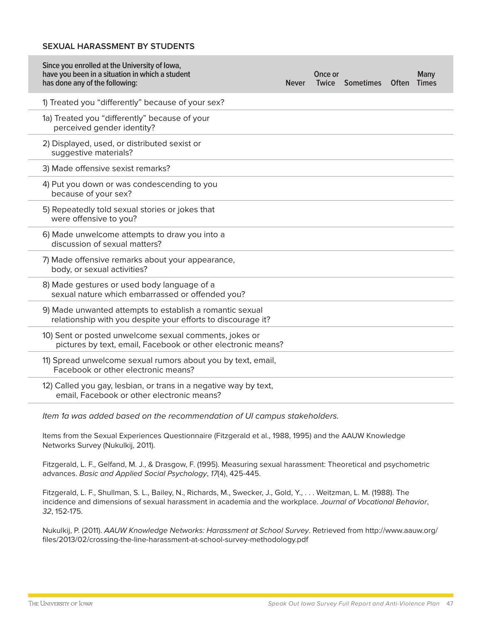#### **SEXUAL HARASSMENT BY STUDENTS**

| Since you enrolled at the University of Iowa,<br>have you been in a situation in which a student<br>has done any of the following: | <b>Never</b> | Once or<br><b>Twice</b> | <b>Sometimes</b> | <b>Often</b> | <b>Many</b><br><b>Times</b> |
|------------------------------------------------------------------------------------------------------------------------------------|--------------|-------------------------|------------------|--------------|-----------------------------|
| 1) Treated you "differently" because of your sex?                                                                                  |              |                         |                  |              |                             |
| 1a) Treated you "differently" because of your<br>perceived gender identity?                                                        |              |                         |                  |              |                             |
| 2) Displayed, used, or distributed sexist or<br>suggestive materials?                                                              |              |                         |                  |              |                             |
| 3) Made offensive sexist remarks?                                                                                                  |              |                         |                  |              |                             |
| 4) Put you down or was condescending to you<br>because of your sex?                                                                |              |                         |                  |              |                             |
| 5) Repeatedly told sexual stories or jokes that<br>were offensive to you?                                                          |              |                         |                  |              |                             |
| 6) Made unwelcome attempts to draw you into a<br>discussion of sexual matters?                                                     |              |                         |                  |              |                             |
| 7) Made offensive remarks about your appearance,<br>body, or sexual activities?                                                    |              |                         |                  |              |                             |
| 8) Made gestures or used body language of a<br>sexual nature which embarrassed or offended you?                                    |              |                         |                  |              |                             |
| 9) Made unwanted attempts to establish a romantic sexual<br>relationship with you despite your efforts to discourage it?           |              |                         |                  |              |                             |
| 10) Sent or posted unwelcome sexual comments, jokes or<br>pictures by text, email, Facebook or other electronic means?             |              |                         |                  |              |                             |
| 11) Spread unwelcome sexual rumors about you by text, email,<br>Facebook or other electronic means?                                |              |                         |                  |              |                             |
| 12) Called you gay, lesbian, or trans in a negative way by text,                                                                   |              |                         |                  |              |                             |

email, Facebook or other electronic means?

Item 1a was added based on the recommendation of UI campus stakeholders.

Items from the Sexual Experiences Questionnaire (Fitzgerald et al., 1988, 1995) and the AAUW Knowledge Networks Survey (Nukulkij, 2011).

Fitzgerald, L. F., Gelfand, M. J., & Drasgow, F. (1995). Measuring sexual harassment: Theoretical and psychometric advances. Basic and Applied Social Psychology, 17(4), 425-445.

Fitzgerald, L. F., Shullman, S. L., Bailey, N., Richards, M., Swecker, J., Gold, Y., . . . Weitzman, L. M. (1988). The incidence and dimensions of sexual harassment in academia and the workplace. Journal of Vocational Behavior, 32, 152-175.

Nukulkij, P. (2011). AAUW Knowledge Networks: Harassment at School Survey. Retrieved from http://www.aauw.org/ files/2013/02/crossing-the-line-harassment-at-school-survey-methodology.pdf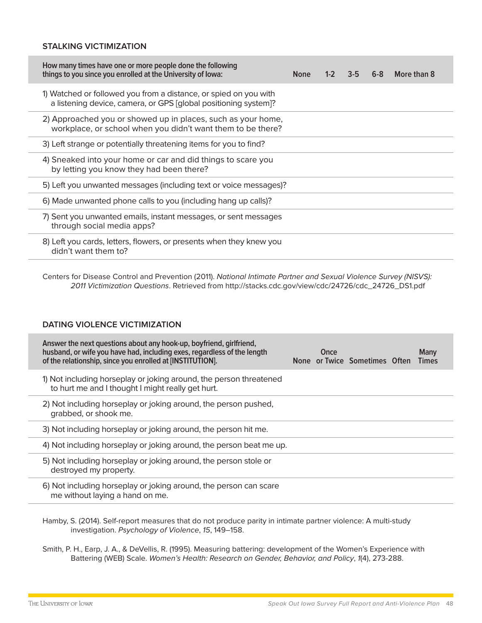#### **STALKING VICTIMIZATION**

| How many times have one or more people done the following<br>things to you since you enrolled at the University of Iowa:            | <b>None</b> | $1 - 2$ | $3 - 5$ | $6 - 8$ | More than 8 |
|-------------------------------------------------------------------------------------------------------------------------------------|-------------|---------|---------|---------|-------------|
| 1) Watched or followed you from a distance, or spied on you with<br>a listening device, camera, or GPS [global positioning system]? |             |         |         |         |             |
| 2) Approached you or showed up in places, such as your home,<br>workplace, or school when you didn't want them to be there?         |             |         |         |         |             |
| 3) Left strange or potentially threatening items for you to find?                                                                   |             |         |         |         |             |
| 4) Sneaked into your home or car and did things to scare you<br>by letting you know they had been there?                            |             |         |         |         |             |
| 5) Left you unwanted messages (including text or voice messages)?                                                                   |             |         |         |         |             |
| 6) Made unwanted phone calls to you (including hang up calls)?                                                                      |             |         |         |         |             |
| 7) Sent you unwanted emails, instant messages, or sent messages<br>through social media apps?                                       |             |         |         |         |             |
| 8) Left you cards, letters, flowers, or presents when they knew you<br>didn't want them to?                                         |             |         |         |         |             |

Centers for Disease Control and Prevention (2011). National Intimate Partner and Sexual Violence Survey (NISVS): 2011 Victimization Questions. Retrieved from http://stacks.cdc.gov/view/cdc/24726/cdc\_24726\_DS1.pdf

#### **DATING VIOLENCE VICTIMIZATION**

| 1) Not including horseplay or joking around, the person threatened<br>to hurt me and I thought I might really get hurt.<br>2) Not including horseplay or joking around, the person pushed,<br>grabbed, or shook me.<br>3) Not including horseplay or joking around, the person hit me.<br>4) Not including horseplay or joking around, the person beat me up.<br>5) Not including horseplay or joking around, the person stole or<br>destroyed my property.<br>6) Not including horseplay or joking around, the person can scare | Answer the next questions about any hook-up, boyfriend, girlfriend,<br>husband, or wife you have had, including exes, regardless of the length<br>of the relationship, since you enrolled at [INSTITUTION]. | Once | None or Twice Sometimes Often Times | <b>Many</b> |
|----------------------------------------------------------------------------------------------------------------------------------------------------------------------------------------------------------------------------------------------------------------------------------------------------------------------------------------------------------------------------------------------------------------------------------------------------------------------------------------------------------------------------------|-------------------------------------------------------------------------------------------------------------------------------------------------------------------------------------------------------------|------|-------------------------------------|-------------|
|                                                                                                                                                                                                                                                                                                                                                                                                                                                                                                                                  |                                                                                                                                                                                                             |      |                                     |             |
|                                                                                                                                                                                                                                                                                                                                                                                                                                                                                                                                  |                                                                                                                                                                                                             |      |                                     |             |
|                                                                                                                                                                                                                                                                                                                                                                                                                                                                                                                                  |                                                                                                                                                                                                             |      |                                     |             |
|                                                                                                                                                                                                                                                                                                                                                                                                                                                                                                                                  |                                                                                                                                                                                                             |      |                                     |             |
|                                                                                                                                                                                                                                                                                                                                                                                                                                                                                                                                  |                                                                                                                                                                                                             |      |                                     |             |
|                                                                                                                                                                                                                                                                                                                                                                                                                                                                                                                                  | me without laying a hand on me.                                                                                                                                                                             |      |                                     |             |

Hamby, S. (2014). Self-report measures that do not produce parity in intimate partner violence: A multi-study investigation. Psychology of Violence, 15, 149–158.

Smith, P. H., Earp, J. A., & DeVellis, R. (1995). Measuring battering: development of the Women's Experience with Battering (WEB) Scale. Women's Health: Research on Gender, Behavior, and Policy, 1(4), 273-288.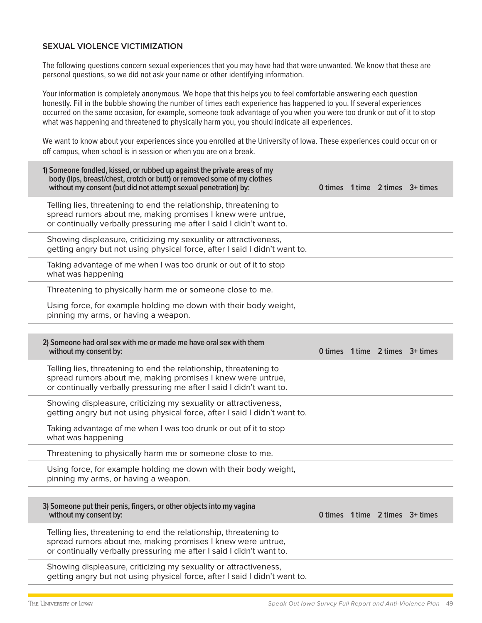#### **SEXUAL VIOLENCE VICTIMIZATION**

The following questions concern sexual experiences that you may have had that were unwanted. We know that these are personal questions, so we did not ask your name or other identifying information.

Your information is completely anonymous. We hope that this helps you to feel comfortable answering each question honestly. Fill in the bubble showing the number of times each experience has happened to you. If several experiences occurred on the same occasion, for example, someone took advantage of you when you were too drunk or out of it to stop what was happening and threatened to physically harm you, you should indicate all experiences.

We want to know about your experiences since you enrolled at the University of Iowa. These experiences could occur on or off campus, when school is in session or when you are on a break.

| 1) Someone fondled, kissed, or rubbed up against the private areas of my<br>body (lips, breast/chest, crotch or butt) or removed some of my clothes<br>without my consent (but did not attempt sexual penetration) by: |  |                                 | 0 times 1 time 2 times 3+ times |
|------------------------------------------------------------------------------------------------------------------------------------------------------------------------------------------------------------------------|--|---------------------------------|---------------------------------|
| Telling lies, threatening to end the relationship, threatening to<br>spread rumors about me, making promises I knew were untrue,<br>or continually verbally pressuring me after I said I didn't want to.               |  |                                 |                                 |
| Showing displeasure, criticizing my sexuality or attractiveness,<br>getting angry but not using physical force, after I said I didn't want to.                                                                         |  |                                 |                                 |
| Taking advantage of me when I was too drunk or out of it to stop<br>what was happening                                                                                                                                 |  |                                 |                                 |
| Threatening to physically harm me or someone close to me.                                                                                                                                                              |  |                                 |                                 |
| Using force, for example holding me down with their body weight,<br>pinning my arms, or having a weapon.                                                                                                               |  |                                 |                                 |
|                                                                                                                                                                                                                        |  |                                 |                                 |
| 2) Someone had oral sex with me or made me have oral sex with them<br>without my consent by:                                                                                                                           |  |                                 | 0 times 1 time 2 times 3+ times |
| Telling lies, threatening to end the relationship, threatening to<br>spread rumors about me, making promises I knew were untrue,<br>or continually verbally pressuring me after I said I didn't want to.               |  |                                 |                                 |
| Showing displeasure, criticizing my sexuality or attractiveness,<br>getting angry but not using physical force, after I said I didn't want to.                                                                         |  |                                 |                                 |
| Taking advantage of me when I was too drunk or out of it to stop<br>what was happening                                                                                                                                 |  |                                 |                                 |
| Threatening to physically harm me or someone close to me.                                                                                                                                                              |  |                                 |                                 |
| Using force, for example holding me down with their body weight,<br>pinning my arms, or having a weapon.                                                                                                               |  |                                 |                                 |
|                                                                                                                                                                                                                        |  |                                 |                                 |
| 3) Someone put their penis, fingers, or other objects into my vagina<br>without my consent by:                                                                                                                         |  | 0 times 1 time 2 times 3+ times |                                 |
| Telling lies, threatening to end the relationship, threatening to<br>spread rumors about me, making promises I knew were untrue,<br>or continually verbally pressuring me after I said I didn't want to.               |  |                                 |                                 |
| Showing displeasure, criticizing my sexuality or attractiveness,<br>getting angry but not using physical force, after I said I didn't want to.                                                                         |  |                                 |                                 |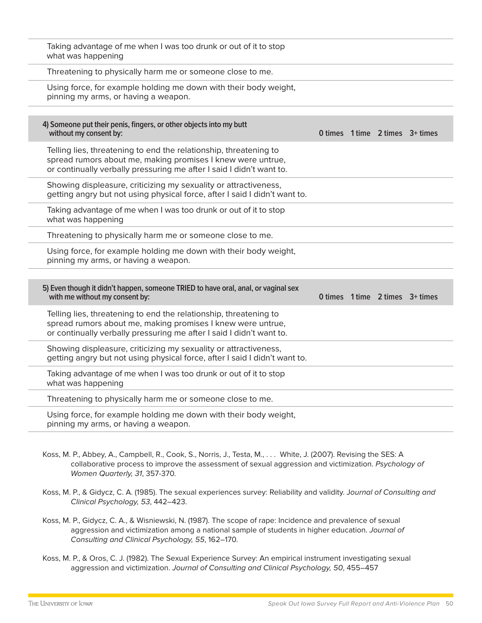| Taking advantage of me when I was too drunk or out of it to stop<br>what was happening                                                                                                                   |  |                                       |  |
|----------------------------------------------------------------------------------------------------------------------------------------------------------------------------------------------------------|--|---------------------------------------|--|
| Threatening to physically harm me or someone close to me.                                                                                                                                                |  |                                       |  |
| Using force, for example holding me down with their body weight,<br>pinning my arms, or having a weapon.                                                                                                 |  |                                       |  |
|                                                                                                                                                                                                          |  |                                       |  |
| 4) Someone put their penis, fingers, or other objects into my butt<br>without my consent by:                                                                                                             |  | 0 times $1$ time $2$ times $3+$ times |  |
| Telling lies, threatening to end the relationship, threatening to<br>spread rumors about me, making promises I knew were untrue,<br>or continually verbally pressuring me after I said I didn't want to. |  |                                       |  |
| Showing displeasure, criticizing my sexuality or attractiveness,<br>getting angry but not using physical force, after I said I didn't want to.                                                           |  |                                       |  |
| Taking advantage of me when I was too drunk or out of it to stop<br>what was happening                                                                                                                   |  |                                       |  |
| Threatening to physically harm me or someone close to me.                                                                                                                                                |  |                                       |  |
| Using force, for example holding me down with their body weight,<br>pinning my arms, or having a weapon.                                                                                                 |  |                                       |  |
|                                                                                                                                                                                                          |  |                                       |  |
| 5) Even though it didn't happen, someone TRIED to have oral, anal, or vaginal sex<br>with me without my consent by:                                                                                      |  | 0 times 1 time 2 times 3+ times       |  |
| Telling lies, threatening to end the relationship, threatening to<br>spread rumors about me, making promises I knew were untrue,<br>or continually verbally pressuring me after I said I didn't want to. |  |                                       |  |
| Showing displeasure, criticizing my sexuality or attractiveness,<br>getting angry but not using physical force, after I said I didn't want to.                                                           |  |                                       |  |
| Taking advantage of me when I was too drunk or out of it to stop<br>what was happening                                                                                                                   |  |                                       |  |
| Threatening to physically harm me or someone close to me.                                                                                                                                                |  |                                       |  |
| Using force, for example holding me down with their body weight,<br>pinning my arms, or having a weapon.                                                                                                 |  |                                       |  |
|                                                                                                                                                                                                          |  |                                       |  |

- Koss, M. P., Abbey, A., Campbell, R., Cook, S., Norris, J., Testa, M., . . . White, J. (2007). Revising the SES: A collaborative process to improve the assessment of sexual aggression and victimization. Psychology of Women Quarterly, 31, 357-370.
- Koss, M. P., & Gidycz, C. A. (1985). The sexual experiences survey: Reliability and validity. Journal of Consulting and Clinical Psychology, 53, 442–423.
- Koss, M. P., Gidycz, C. A., & Wisniewski, N. (1987). The scope of rape: Incidence and prevalence of sexual aggression and victimization among a national sample of students in higher education. Journal of Consulting and Clinical Psychology, 55, 162–170.
- Koss, M. P., & Oros, C. J. (1982). The Sexual Experience Survey: An empirical instrument investigating sexual aggression and victimization. Journal of Consulting and Clinical Psychology, 50, 455–457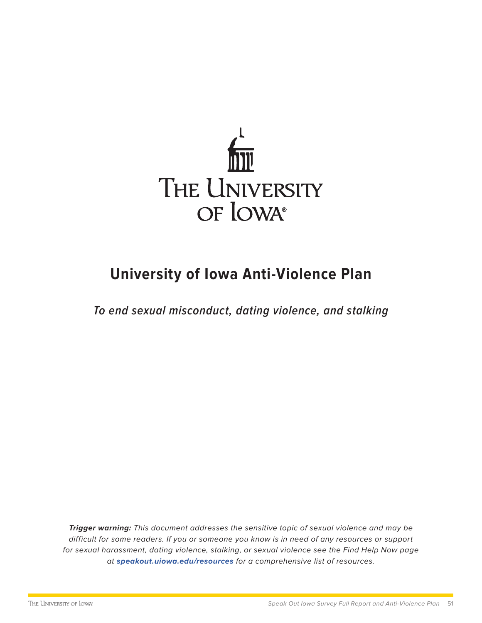

# **University of Iowa Anti-Violence Plan**

**To end sexual misconduct, dating violence, and stalking**

**Trigger warning:** This document addresses the sensitive topic of sexual violence and may be difficult for some readers. If you or someone you know is in need of any resources or support for sexual harassment, dating violence, stalking, or sexual violence see the Find Help Now page at **speakout.uiowa.edu/resources** for a comprehensive list of resources.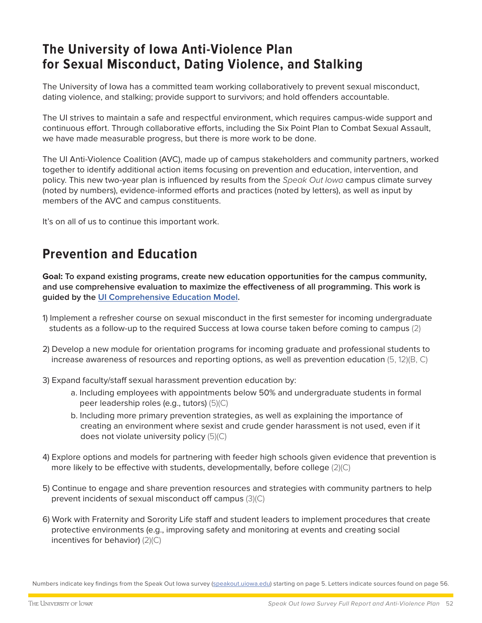## **The University of Iowa Anti-Violence Plan for Sexual Misconduct, Dating Violence, and Stalking**

The University of Iowa has a committed team working collaboratively to prevent sexual misconduct, dating violence, and stalking; provide support to survivors; and hold offenders accountable.

The UI strives to maintain a safe and respectful environment, which requires campus-wide support and continuous effort. Through collaborative efforts, including the Six Point Plan to Combat Sexual Assault, we have made measurable progress, but there is more work to be done.

The UI Anti-Violence Coalition (AVC), made up of campus stakeholders and community partners, worked together to identify additional action items focusing on prevention and education, intervention, and policy. This new two-year plan is influenced by results from the *Speak Out Iowa* campus climate survey (noted by numbers), evidence-informed efforts and practices (noted by letters), as well as input by members of the AVC and campus constituents.

It's on all of us to continue this important work.

## **Prevention and Education**

**Goal: To expand existing programs, create new education opportunities for the campus community, and use comprehensive evaluation to maximize the effectiveness of all programming. This work is guided by the UI Comprehensive Education Model.**

- 1) Implement a refresher course on sexual misconduct in the first semester for incoming undergraduate students as a follow-up to the required Success at Iowa course taken before coming to campus (2)
- 2) Develop a new module for orientation programs for incoming graduate and professional students to increase awareness of resources and reporting options, as well as prevention education (5, 12)(B, C)
- 3) Expand faculty/staff sexual harassment prevention education by:
	- a. Including employees with appointments below 50% and undergraduate students in formal peer leadership roles (e.g., tutors) (5)(C)
	- b. Including more primary prevention strategies, as well as explaining the importance of creating an environment where sexist and crude gender harassment is not used, even if it does not violate university policy (5)(C)
- 4) Explore options and models for partnering with feeder high schools given evidence that prevention is more likely to be effective with students, developmentally, before college (2)(C)
- 5) Continue to engage and share prevention resources and strategies with community partners to help prevent incidents of sexual misconduct off campus (3)(C)
- 6) Work with Fraternity and Sorority Life staff and student leaders to implement procedures that create protective environments (e.g., improving safety and monitoring at events and creating social incentives for behavior) (2)(C)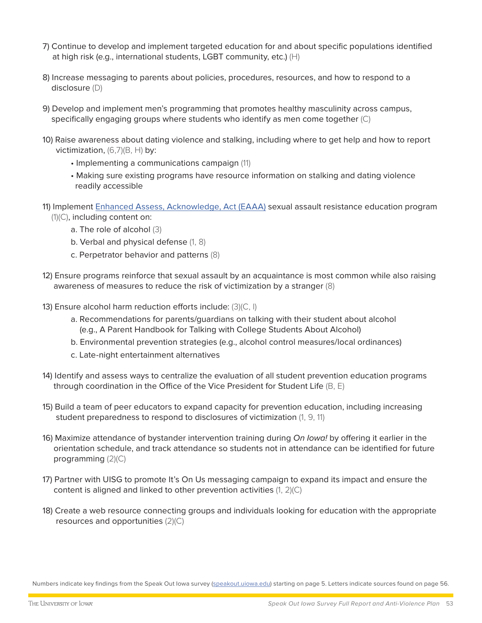- 7) Continue to develop and implement targeted education for and about specific populations identified at high risk (e.g., international students, LGBT community, etc.) (H)
- 8) Increase messaging to parents about policies, procedures, resources, and how to respond to a disclosure (D)
- 9) Develop and implement men's programming that promotes healthy masculinity across campus, specifically engaging groups where students who identify as men come together (C)
- 10) Raise awareness about dating violence and stalking, including where to get help and how to report victimization, (6,7)(B, H) by:
	- Implementing a communications campaign (11)
	- Making sure existing programs have resource information on stalking and dating violence readily accessible
- 11) Implement Enhanced Assess, Acknowledge, Act (EAAA) sexual assault resistance education program (1)(C), including content on:
	- a. The role of alcohol (3)
		- b. Verbal and physical defense (1, 8)
		- c. Perpetrator behavior and patterns (8)
- 12) Ensure programs reinforce that sexual assault by an acquaintance is most common while also raising awareness of measures to reduce the risk of victimization by a stranger (8)
- 13) Ensure alcohol harm reduction efforts include: (3)(C, I)
	- a. Recommendations for parents/guardians on talking with their student about alcohol (e.g., A Parent Handbook for Talking with College Students About Alcohol)
	- b. Environmental prevention strategies (e.g., alcohol control measures/local ordinances)
	- c. Late-night entertainment alternatives
- 14) Identify and assess ways to centralize the evaluation of all student prevention education programs through coordination in the Office of the Vice President for Student Life (B, E)
- 15) Build a team of peer educators to expand capacity for prevention education, including increasing student preparedness to respond to disclosures of victimization (1, 9, 11)
- 16) Maximize attendance of bystander intervention training during On lowa! by offering it earlier in the orientation schedule, and track attendance so students not in attendance can be identified for future programming (2)(C)
- 17) Partner with UISG to promote It's On Us messaging campaign to expand its impact and ensure the content is aligned and linked to other prevention activities (1, 2)(C)
- 18) Create a web resource connecting groups and individuals looking for education with the appropriate resources and opportunities (2)(C)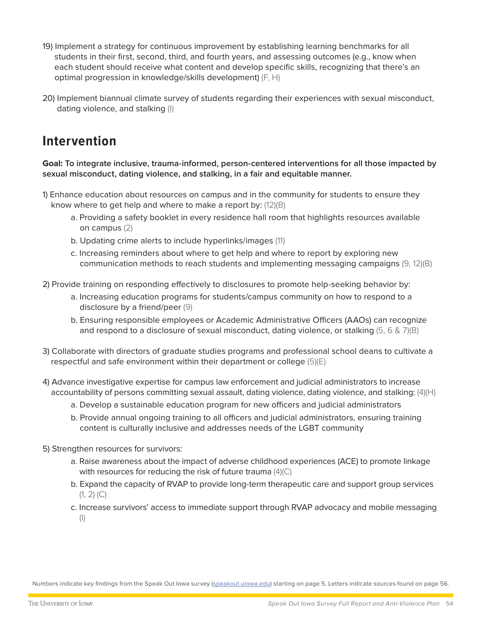- 19) Implement a strategy for continuous improvement by establishing learning benchmarks for all students in their first, second, third, and fourth years, and assessing outcomes (e.g., know when each student should receive what content and develop specific skills, recognizing that there's an optimal progression in knowledge/skills development) (F, H)
- 20) Implement biannual climate survey of students regarding their experiences with sexual misconduct, dating violence, and stalking (I)

## **Intervention**

**Goal: To integrate inclusive, trauma-informed, person-centered interventions for all those impacted by sexual misconduct, dating violence, and stalking, in a fair and equitable manner.**

- 1) Enhance education about resources on campus and in the community for students to ensure they know where to get help and where to make a report by: (12)(B)
	- a. Providing a safety booklet in every residence hall room that highlights resources available on campus (2)
	- b. Updating crime alerts to include hyperlinks/images (11)
	- c. Increasing reminders about where to get help and where to report by exploring new communication methods to reach students and implementing messaging campaigns (9, 12)(B)
- 2) Provide training on responding effectively to disclosures to promote help-seeking behavior by:
	- a. Increasing education programs for students/campus community on how to respond to a disclosure by a friend/peer (9)
	- b. Ensuring responsible employees or Academic Administrative Officers (AAOs) can recognize and respond to a disclosure of sexual misconduct, dating violence, or stalking  $(5, 6 \& 7)(B)$
- 3) Collaborate with directors of graduate studies programs and professional school deans to cultivate a respectful and safe environment within their department or college (5)(E)
- 4) Advance investigative expertise for campus law enforcement and judicial administrators to increase accountability of persons committing sexual assault, dating violence, dating violence, and stalking: (4)(H)
	- a. Develop a sustainable education program for new officers and judicial administrators
	- b. Provide annual ongoing training to all officers and judicial administrators, ensuring training content is culturally inclusive and addresses needs of the LGBT community
- 5) Strengthen resources for survivors:
	- a. Raise awareness about the impact of adverse childhood experiences (ACE) to promote linkage with resources for reducing the risk of future trauma (4)(C)
	- b. Expand the capacity of RVAP to provide long-term therapeutic care and support group services  $(1, 2)$   $(C)$
	- c. Increase survivors' access to immediate support through RVAP advocacy and mobile messaging (I)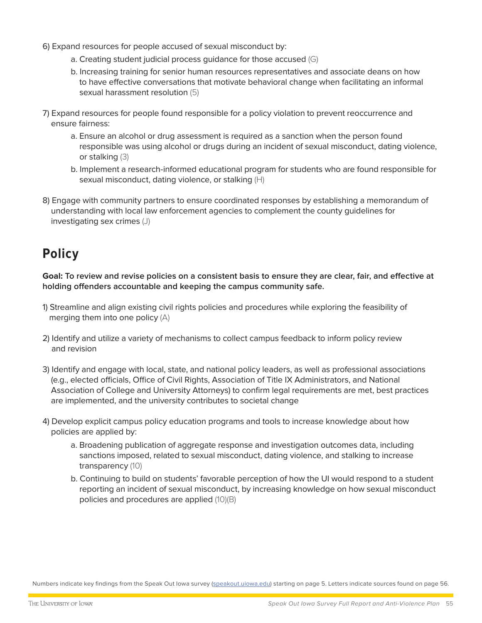- 6) Expand resources for people accused of sexual misconduct by:
	- a. Creating student judicial process guidance for those accused (G)
	- b. Increasing training for senior human resources representatives and associate deans on how to have effective conversations that motivate behavioral change when facilitating an informal sexual harassment resolution (5)
- 7) Expand resources for people found responsible for a policy violation to prevent reoccurrence and ensure fairness:
	- a. Ensure an alcohol or drug assessment is required as a sanction when the person found responsible was using alcohol or drugs during an incident of sexual misconduct, dating violence, or stalking (3)
	- b. Implement a research-informed educational program for students who are found responsible for sexual misconduct, dating violence, or stalking (H)
- 8) Engage with community partners to ensure coordinated responses by establishing a memorandum of understanding with local law enforcement agencies to complement the county guidelines for investigating sex crimes (J)

## **Policy**

**Goal: To review and revise policies on a consistent basis to ensure they are clear, fair, and effective at holding offenders accountable and keeping the campus community safe.**

- 1) Streamline and align existing civil rights policies and procedures while exploring the feasibility of merging them into one policy (A)
- 2) Identify and utilize a variety of mechanisms to collect campus feedback to inform policy review and revision
- 3) Identify and engage with local, state, and national policy leaders, as well as professional associations (e.g., elected officials, Office of Civil Rights, Association of Title IX Administrators, and National Association of College and University Attorneys) to confirm legal requirements are met, best practices are implemented, and the university contributes to societal change
- 4) Develop explicit campus policy education programs and tools to increase knowledge about how policies are applied by:
	- a. Broadening publication of aggregate response and investigation outcomes data, including sanctions imposed, related to sexual misconduct, dating violence, and stalking to increase transparency (10)
	- b. Continuing to build on students' favorable perception of how the UI would respond to a student reporting an incident of sexual misconduct, by increasing knowledge on how sexual misconduct policies and procedures are applied (10)(B)